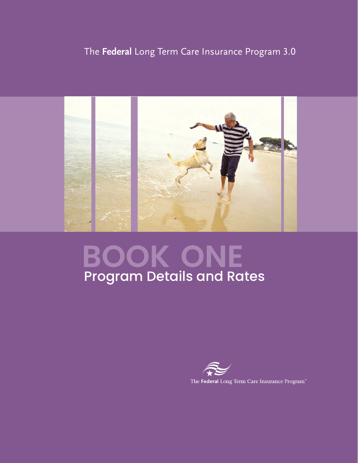# The **Federal** Long Term Care Insurance Program 3.0



# **book one** Program Details and Rates

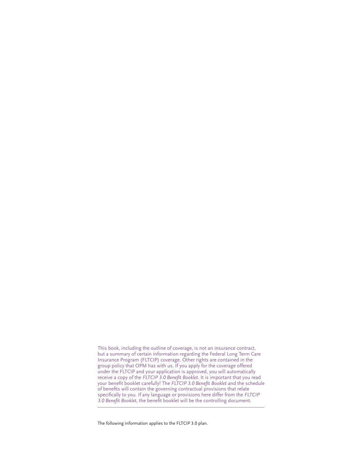This book, including the outline of coverage, is not an insurance contract, but a summary of certain information regarding the Federal Long Term Care Insurance Program (FLTCIP) coverage. Other rights are contained in the group policy that OPM has with us. If you apply for the coverage offered under the FLTCIP and your application is approved, you will automatically receive a copy of the *FLTCIP 3.0 Benefit Booklet*. It is important that you read your benefit booklet carefully! The *FLTCIP 3.0 Benefit Booklet* and the schedule of benefits will contain the governing contractual provisions that relate specifically to you. If any language or provisions here differ from the *FLTCIP 3.0 Benefit Booklet*, the benefit booklet will be the controlling document.

The following information applies to the FLTCIP 3.0 plan.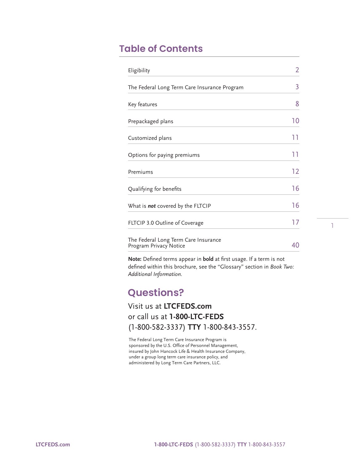# **Table of Contents**

| Eligibility                                                    | 2   |
|----------------------------------------------------------------|-----|
| The Federal Long Term Care Insurance Program                   | 3   |
| Key features                                                   | 8   |
| Prepackaged plans                                              | 10  |
| Customized plans                                               | ו ו |
| Options for paying premiums                                    | 11  |
| Premiums                                                       | 12  |
| Qualifying for benefits                                        | 16  |
| What is <b>not</b> covered by the FLTCIP                       | 16  |
| FLTCIP 3.0 Outline of Coverage                                 | 17  |
| The Federal Long Term Care Insurance<br>Program Privacy Notice | 40  |

**Note:** Defined terms appear in **bold** at first usage. If a term is not defined within this brochure, see the "Glossary" section in *Book Two: Additional Information.*

1

# **Questions?**

### Visit us at **[LTCFEDS.com](http://LTCFEDS.com)** or call us at **1-800-LTC-FEDS** (1-800-582-3337) **TTY** 1-800-843-3557.

The Federal Long Term Care Insurance Program is sponsored by the U.S. Office of Personnel Management, insured by John Hancock Life & Health Insurance Company, under a group long term care insurance policy, and administered by Long Term Care Partners, LLC.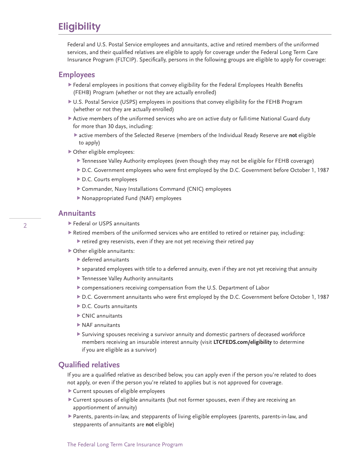# **Eligibility**

Federal and U.S. Postal Service employees and annuitants, active and retired members of the uniformed services, and their qualified relatives are eligible to apply for coverage under the Federal Long Term Care Insurance Program (FLTCIP). Specifically, persons in the following groups are eligible to apply for coverage:

### **Employees**

- Federal employees in positions that convey eligibility for the Federal Employees Health Benefits (FEHB) Program (whether or not they are actually enrolled)
- U.S. Postal Service (USPS) employees in positions that convey eligibility for the FEHB Program (whether or not they are actually enrolled)
- Active members of the uniformed services who are on active duty or full-time National Guard duty for more than 30 days, including:
	- active members of the Selected Reserve (members of the Individual Ready Reserve are **not** eligible to apply)
- Other eligible employees:
	- Tennessee Valley Authority employees (even though they may not be eligible for FEHB coverage)
	- D.C. Government employees who were first employed by the D.C. Government before October 1, 1987
	- D.C. Courts employees
	- Commander, Navy Installations Command (CNIC) employees
	- Nonappropriated Fund (NAF) employees

#### **Annuitants**

- Federal or USPS annuitants
- Retired members of the uniformed services who are entitled to retired or retainer pay, including:
	- retired grey reservists, even if they are not yet receiving their retired pay
- Other eligible annuitants:
	- deferred annuitants
	- separated employees with title to a deferred annuity, even if they are not yet receiving that annuity
	- Tennessee Valley Authority annuitants
	- compensationers receiving compensation from the U.S. Department of Labor
	- D.C. Government annuitants who were first employed by the D.C. Government before October 1, 1987
	- ▶ D.C. Courts annuitants
	- CNIC annuitants
	- NAF annuitants
	- Surviving spouses receiving a survivor annuity and domestic partners of deceased workforce members receiving an insurable interest annuity (visit **[LTCFEDS.com/eligibility](http://LTCFEDS.com/eligibility)** to determine if you are eligible as a survivor)

### **Qualified relatives**

If you are a qualified relative as described below, you can apply even if the person you're related to does not apply, or even if the person you're related to applies but is not approved for coverage.

- Current spouses of eligible employees
- Current spouses of eligible annuitants (but not former spouses, even if they are receiving an apportionment of annuity)
- Parents, parents-in-law, and stepparents of living eligible employees (parents, parents-in-law, and stepparents of annuitants are **not** eligible)

2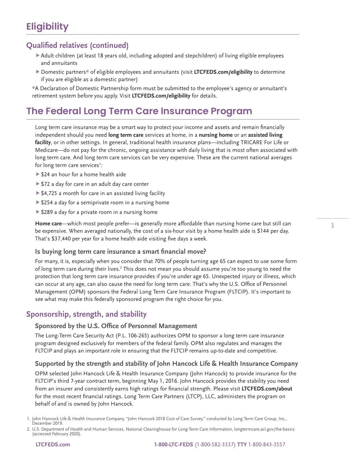# **Eligibility**

### **Qualified relatives (continued)**

- Adult children (at least 18 years old, including adopted and stepchildren) of living eligible employees and annuitants
- Domestic partners\* of eligible employees and annuitants (visit **[LTCFEDS.com/eligibility](http://LTCFEDS.com/eligibility)** to determine if you are eligible as a domestic partner)

\* A Declaration of Domestic Partnership form must be submitted to the employee's agency or annuitant's retirement system before you apply. Visit **[LTCFEDS.com/eligibility](http://LTCFEDS.com/eligibility)** for details.

# **The Federal Long Term Care Insurance Program**

Long term care insurance may be a smart way to protect your income and assets and remain financially independent should you need **long term care** services at home, in a **nursing home** or an **assisted living facility**, or in other settings. In general, traditional health insurance plans—including TRICARE For Life or Medicare—do not pay for the chronic, ongoing assistance with daily living that is most often associated with long term care. And long term care services can be very expensive. These are the current national averages for long term care services<sup>1</sup>:

- ▶ \$24 an hour for a home health aide
- ▶ \$72 a day for care in an adult day care center
- ▶ \$4,725 a month for care in an assisted living facility
- ▶ \$254 a day for a semiprivate room in a nursing home
- ▶ \$289 a day for a private room in a nursing home

**Home care**—which most people prefer—is generally more affordable than nursing home care but still can be expensive. When averaged nationally, the cost of a six-hour visit by a home health aide is \$144 per day. That's \$37,440 per year for a home health aide visiting five days a week.

#### **Is buying long term care insurance a smart financial move?**

For many, it is, especially when you consider that 70% of people turning age 65 can expect to use some form of long term care during their lives.<sup>2</sup> This does not mean you should assume you're too young to need the protection that long term care insurance provides if you're under age 65. Unexpected injury or illness, which can occur at any age, can also cause the need for long term care. That's why the U.S. Office of Personnel Management (OPM) sponsors the Federal Long Term Care Insurance Program (FLTCIP). It's important to see what may make this federally sponsored program the right choice for you.

### **Sponsorship, strength, and stability**

#### **Sponsored by the U.S. Office of Personnel Management**

The Long-Term Care Security Act (P.L. 106-265) authorizes OPM to sponsor a long term care insurance program designed exclusively for members of the federal family. OPM also regulates and manages the FLTCIP and plays an important role in ensuring that the FLTCIP remains up-to-date and competitive.

**Supported by the strength and stability of John Hancock Life & Health Insurance Company**  OPM selected John Hancock Life & Health Insurance Company (John Hancock) to provide insurance for the

FLTCIP's third 7-year contract term, beginning May 1, 2016. John Hancock provides the stability you need from an insurer and consistently earns high ratings for financial strength. Please visit **[LTCFEDS.com/about](http://LTCFEDS.com/about)** for the most recent financial ratings. Long Term Care Partners (LTCP), LLC, administers the program on behalf of and is owned by John Hancock.

<sup>1.</sup> John Hancock Life & Health Insurance Company, "John Hancock 2018 Cost of Care Survey," conducted by Long Term Care Group, Inc., December 2019.

 <sup>2.</sup> U.S. Department of Health and Human Services, National Clearinghouse for Long-Term Care Information, [longtermcare.acl.gov/the-basics](http://longtermcare.acl.gov/the-basics) (accessed February 2020).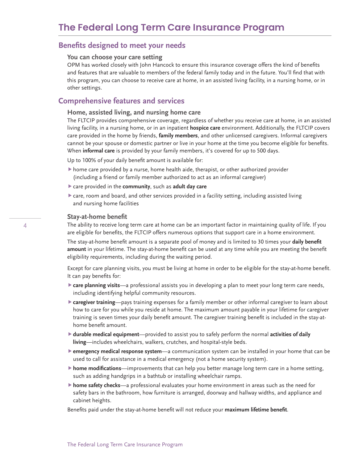### **Benefits designed to meet your needs**

#### **You can choose your care setting**

OPM has worked closely with John Hancock to ensure this insurance coverage offers the kind of benefits and features that are valuable to members of the federal family today and in the future. You'll find that with this program, you can choose to receive care at home, in an assisted living facility, in a nursing home, or in other settings.

### **Comprehensive features and services**

#### **Home, assisted living, and nursing home care**

The FLTCIP provides comprehensive coverage, regardless of whether you receive care at home, in an assisted living facility, in a nursing home, or in an inpatient **hospice care** environment. Additionally, the FLTCIP covers care provided in the home by friends, **family members**, and other unlicensed caregivers. Informal caregivers cannot be your spouse or domestic partner or live in your home at the time you become eligible for benefits. When **informal care** is provided by your family members, it's covered for up to 500 days.

Up to 100% of your daily benefit amount is available for:

- home care provided by a nurse, home health aide, therapist, or other authorized provider (including a friend or family member authorized to act as an informal caregiver)
- care provided in the **community**, such as **adult day care**
- care, room and board, and other services provided in a facility setting, including assisted living and nursing home facilities

#### **Stay-at-home benefit**

The ability to receive long term care at home can be an important factor in maintaining quality of life. If you are eligible for benefits, the FLTCIP offers numerous options that support care in a home environment.

The stay-at-home benefit amount is a separate pool of money and is limited to 30 times your **daily benefit amount** in your lifetime. The stay-at-home benefit can be used at any time while you are meeting the benefit eligibility requirements, including during the waiting period.

Except for care planning visits, you must be living at home in order to be eligible for the stay-at-home benefit. It can pay benefits for:

- **care planning visits**—a professional assists you in developing a plan to meet your long term care needs, including identifying helpful community resources.
- **caregiver training**—pays training expenses for a family member or other informal caregiver to learn about how to care for you while you reside at home. The maximum amount payable in your lifetime for caregiver training is seven times your daily benefit amount. The caregiver training benefit is included in the stay-athome benefit amount.
- **durable medical equipment**—provided to assist you to safely perform the normal **activities of daily living**—includes wheelchairs, walkers, crutches, and hospital-style beds.
- **emergency medical response system**—a communication system can be installed in your home that can be used to call for assistance in a medical emergency (not a home security system).
- **home modifications**—improvements that can help you better manage long term care in a home setting, such as adding handgrips in a bathtub or installing wheelchair ramps.
- **home safety checks**—a professional evaluates your home environment in areas such as the need for safety bars in the bathroom, how furniture is arranged, doorway and hallway widths, and appliance and cabinet heights.

Benefits paid under the stay-at-home benefit will not reduce your **maximum lifetime benefit**.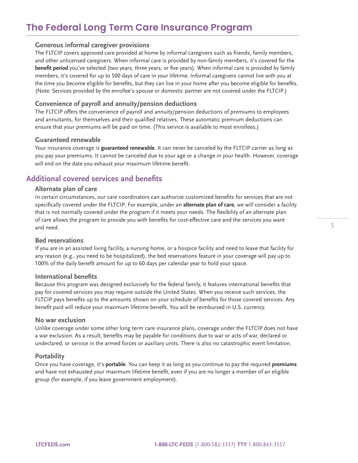# **The Federal Long Term Care Insurance Program**

#### **Generous informal caregiver provisions**

The FLTCIP covers approved care provided at home by informal caregivers such as friends, family members, and other unlicensed caregivers. When informal care is provided by non-family members, it's covered for the **benefit period** you've selected (two years, three years, or five years). When informal care is provided by family members, it's covered for up to 500 days of care in your lifetime. Informal caregivers cannot live with you at the time you become eligible for benefits, but they can live in your home after you become eligible for benefits. (Note: Services provided by the enrollee's spouse or domestic partner are not covered under the FLTCIP.)

#### **Convenience of payroll and annuity/pension deductions**

The FLTCIP offers the convenience of payroll and annuity/pension deductions of premiums to employees and annuitants, for themselves and their qualified relatives. These automatic premium deductions can ensure that your premiums will be paid on time. (This service is available to most enrollees.)

#### **Guaranteed renewable**

Your insurance coverage is **guaranteed renewable**. It can never be canceled by the FLTCIP carrier as long as you pay your premiums. It cannot be canceled due to your age or a change in your health. However, coverage will end on the date you exhaust your maximum lifetime benefit.

### **Additional covered services and benefits**

#### **Alternate plan of care**

In certain circumstances, our care coordinators can authorize customized benefits for services that are not specifically covered under the FLTCIP. For example, under an **alternate plan of care**, we will consider a facility that is not normally covered under the program if it meets your needs. The flexibility of an alternate plan of care allows the program to provide you with benefits for cost-effective care and the services you want and need.

#### **Bed reservations**

If you are in an assisted living facility, a nursing home, or a hospice facility and need to leave that facility for any reason (e.g., you need to be hospitalized), the bed reservations feature in your coverage will pay up to 100% of the daily benefit amount for up to 60 days per calendar year to hold your space.

#### **International benefits**

Because this program was designed exclusively for the federal family, it features international benefits that pay for covered services you may require outside the United States. When you receive such services, the FLTCIP pays benefits up to the amounts shown on your schedule of benefits for those covered services. Any benefit paid will reduce your maximum lifetime benefit. You will be reimbursed in U.S. currency.

#### **No war exclusion**

Unlike coverage under some other long term care insurance plans, coverage under the FLTCIP does not have a war exclusion. As a result, benefits may be payable for conditions due to war or acts of war, declared or undeclared, or service in the armed forces or auxiliary units. There is also no catastrophic event limitation.

#### **Portability**

Once you have coverage, it's **portable**. You can keep it as long as you continue to pay the required **premiums** and have not exhausted your maximum lifetime benefit, even if you are no longer a member of an eligible group (for example, if you leave government employment).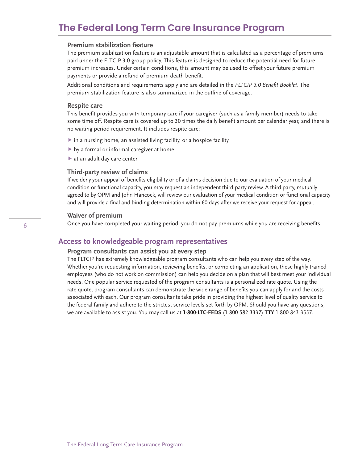### **The Federal Long Term Care Insurance Program**

#### **Premium stabilization feature**

The premium stabilization feature is an adjustable amount that is calculated as a percentage of premiums paid under the FLTCIP 3.0 group policy. This feature is designed to reduce the potential need for future premium increases. Under certain conditions, this amount may be used to offset your future premium payments or provide a refund of premium death benefit.

Additional conditions and requirements apply and are detailed in the *FLTCIP 3.0 Benefit Booklet*. The premium stabilization feature is also summarized in the outline of coverage.

#### **Respite care**

This benefit provides you with temporary care if your caregiver (such as a family member) needs to take some time off. Respite care is covered up to 30 times the daily benefit amount per calendar year, and there is no waiting period requirement. It includes respite care:

- $\blacktriangleright$  in a nursing home, an assisted living facility, or a hospice facility
- by a formal or informal caregiver at home
- at an adult day care center

#### **Third-party review of claims**

If we deny your appeal of benefits eligibility or of a claims decision due to our evaluation of your medical condition or functional capacity, you may request an independent third-party review. A third party, mutually agreed to by OPM and John Hancock, will review our evaluation of your medical condition or functional capacity and will provide a final and binding determination within 60 days after we receive your request for appeal.

#### **Waiver of premium**

Once you have completed your waiting period, you do not pay premiums while you are receiving benefits.

### **Access to knowledgeable program representatives**

### **Program consultants can assist you at every step**

The FLTCIP has extremely knowledgeable program consultants who can help you every step of the way. Whether you're requesting information, reviewing benefits, or completing an application, these highly trained employees (who do not work on commission) can help you decide on a plan that will best meet your individual needs. One popular service requested of the program consultants is a personalized rate quote. Using the rate quote, program consultants can demonstrate the wide range of benefits you can apply for and the costs associated with each. Our program consultants take pride in providing the highest level of quality service to the federal family and adhere to the strictest service levels set forth by OPM. Should you have any questions, we are available to assist you. You may call us at **1-800-LTC-FEDS** (1-800-582-3337) **TTY** 1-800-843-3557.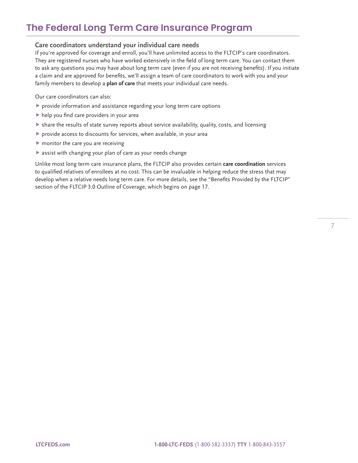# **The Federal Long Term Care Insurance Program**

#### **Care coordinators understand your individual care needs**

If you're approved for coverage and enroll, you'll have unlimited access to the FLTCIP's care coordinators. They are registered nurses who have worked extensively in the field of long term care. You can contact them to ask any questions you may have about long term care (even if you are not receiving benefits). If you initiate a claim and are approved for benefits, we'll assign a team of care coordinators to work with you and your family members to develop a **plan of care** that meets your individual care needs.

Our care coordinators can also:

- provide information and assistance regarding your long term care options
- help you find care providers in your area
- share the results of state survey reports about service availability, quality, costs, and licensing
- provide access to discounts for services, when available, in your area
- $\blacktriangleright$  monitor the care you are receiving
- assist with changing your plan of care as your needs change

Unlike most long term care insurance plans, the FLTCIP also provides certain **care coordination** services to qualified relatives of enrollees at no cost. This can be invaluable in helping reduce the stress that may develop when a relative needs long term care. For more details, see the "Benefits Provided by the FLTCIP" section of the FLTCIP 3.0 Outline of Coverage, which begins on page 17.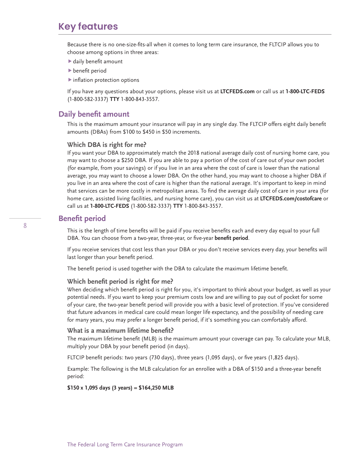## **Key features**

Because there is no one-size-fits-all when it comes to long term care insurance, the FLTCIP allows you to choose among options in three areas:

- daily benefit amount
- benefit period
- $\blacktriangleright$  inflation protection options

If you have any questions about your options, please visit us at **[LTCFEDS.com](http://LTCFEDS.com)** or call us at **1-800-LTC-FEDS** (1-800-582-3337) **TTY** 1-800-843-3557.

### **Daily benefit amount**

This is the maximum amount your insurance will pay in any single day. The FLTCIP offers eight daily benefit amounts (DBAs) from \$100 to \$450 in \$50 increments.

#### **Which DBA is right for me?**

If you want your DBA to approximately match the 2018 national average daily cost of nursing home care, you may want to choose a \$250 DBA. If you are able to pay a portion of the cost of care out of your own pocket (for example, from your savings) or if you live in an area where the cost of care is lower than the national average, you may want to choose a lower DBA. On the other hand, you may want to choose a higher DBA if you live in an area where the cost of care is higher than the national average. It's important to keep in mind that services can be more costly in metropolitan areas. To find the average daily cost of care in your area (for home care, assisted living facilities, and nursing home care), you can visit us at **[LTCFEDS.com/costofcare](http://LTCFEDS.com/costofcare)** or call us at **1-800-LTC-FEDS** (1-800-582-3337) **TTY** 1-800-843-3557.

### **Benefit period**

This is the length of time benefits will be paid if you receive benefits each and every day equal to your full DBA. You can choose from a two-year, three-year, or five-year **benefit period**.

If you receive services that cost less than your DBA or you don't receive services every day, your benefits will last longer than your benefit period.

The benefit period is used together with the DBA to calculate the maximum lifetime benefit.

#### **Which benefit period is right for me?**

When deciding which benefit period is right for you, it's important to think about your budget, as well as your potential needs. If you want to keep your premium costs low and are willing to pay out of pocket for some of your care, the two-year benefit period will provide you with a basic level of protection. If you've considered that future advances in medical care could mean longer life expectancy, and the possibility of needing care for many years, you may prefer a longer benefit period, if it's something you can comfortably afford.

#### **What is a maximum lifetime benefit?**

The maximum lifetime benefit (MLB) is the maximum amount your coverage can pay. To calculate your MLB, multiply your DBA by your benefit period (in days).

FLTCIP benefit periods: two years (730 days), three years (1,095 days), or five years (1,825 days).

Example: The following is the MLB calculation for an enrollee with a DBA of \$150 and a three-year benefit period:

#### **\$150 x 1,095 days (3 years) = \$164,250 MLB**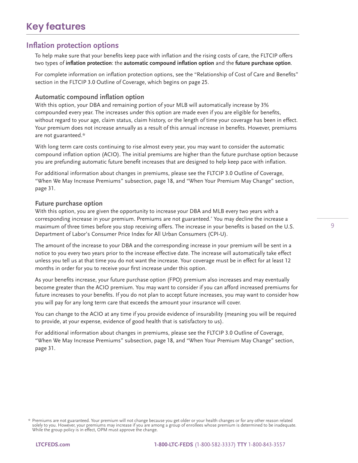### **Inflation protection options**

To help make sure that your benefits keep pace with inflation and the rising costs of care, the FLTCIP offers two types of **inflation protection**: the **automatic compound inflation option** and the **future purchase option**.

For complete information on inflation protection options, see the "Relationship of Cost of Care and Benefits" section in the FLTCIP 3.0 Outline of Coverage, which begins on page 25.

#### **Automatic compound inflation option**

With this option, your DBA and remaining portion of your MLB will automatically increase by 3% compounded every year. The increases under this option are made even if you are eligible for benefits, without regard to your age, claim status, claim history, or the length of time your coverage has been in effect. Your premium does not increase annually as a result of this annual increase in benefits. However, premiums are not guaranteed.\*

With long term care costs continuing to rise almost every year, you may want to consider the automatic compound inflation option (ACIO). The initial premiums are higher than the future purchase option because you are prefunding automatic future benefit increases that are designed to help keep pace with inflation.

For additional information about changes in premiums, please see the FLTCIP 3.0 Outline of Coverage, "When We May Increase Premiums" subsection, page 18, and "When Your Premium May Change" section, page 31.

#### **Future purchase option**

With this option, you are given the opportunity to increase your DBA and MLB every two years with a corresponding increase in your premium. Premiums are not guaranteed.\* You may decline the increase a maximum of three times before you stop receiving offers. The increase in your benefits is based on the U.S. Department of Labor's Consumer Price Index for All Urban Consumers (CPI-U).

The amount of the increase to your DBA and the corresponding increase in your premium will be sent in a notice to you every two years prior to the increase effective date. The increase will automatically take effect unless you tell us at that time you do not want the increase. Your coverage must be in effect for at least 12 months in order for you to receive your first increase under this option.

As your benefits increase, your future purchase option (FPO) premium also increases and may eventually become greater than the ACIO premium. You may want to consider if you can afford increased premiums for future increases to your benefits. If you do not plan to accept future increases, you may want to consider how you will pay for any long term care that exceeds the amount your insurance will cover.

You can change to the ACIO at any time if you provide evidence of insurability (meaning you will be required to provide, at your expense, evidence of good health that is satisfactory to us).

For additional information about changes in premiums, please see the FLTCIP 3.0 Outline of Coverage, "When We May Increase Premiums" subsection, page 18, and "When Your Premium May Change" section, page 31.

<sup>\*</sup> Premiums are not guaranteed. Your premium will not change because you get older or your health changes or for any other reason related solely to you. However, your premiums may increase if you are among a group of enrollees whose premium is determined to be inadequate. While the group policy is in effect, OPM must approve the change.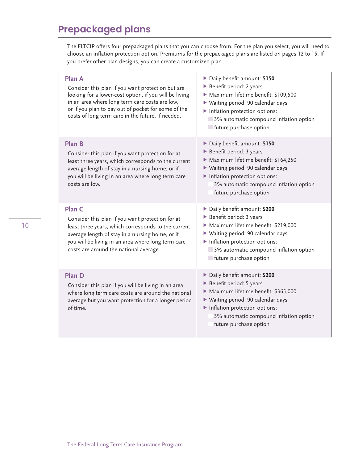# **Prepackaged plans**

The FLTCIP offers four prepackaged plans that you can choose from. For the plan you select, you will need to choose an inflation protection option. Premiums for the prepackaged plans are listed on pages 12 to 15. If you prefer other plan designs, you can create a customized plan.

| Plan A<br>Consider this plan if you want protection but are<br>looking for a lower-cost option, if you will be living<br>in an area where long term care costs are low,<br>or if you plan to pay out of pocket for some of the<br>costs of long term care in the future, if needed. | Daily benefit amount: \$150<br>Benefit period: 2 years<br>Maximum lifetime benefit: \$109,500<br>▶ Waiting period: 90 calendar days<br>Inflation protection options:<br>3% automatic compound inflation option<br>future purchase option        |
|-------------------------------------------------------------------------------------------------------------------------------------------------------------------------------------------------------------------------------------------------------------------------------------|-------------------------------------------------------------------------------------------------------------------------------------------------------------------------------------------------------------------------------------------------|
| <b>Plan B</b><br>Consider this plan if you want protection for at<br>least three years, which corresponds to the current<br>average length of stay in a nursing home, or if<br>you will be living in an area where long term care<br>costs are low.                                 | Daily benefit amount: \$150<br>Benefit period: 3 years<br>Maximum lifetime benefit: \$164,250<br>▶ Waiting period: 90 calendar days<br>Inflation protection options:<br>3% automatic compound inflation option<br>future purchase option        |
| Plan C<br>Consider this plan if you want protection for at<br>least three years, which corresponds to the current<br>average length of stay in a nursing home, or if<br>you will be living in an area where long term care<br>costs are around the national average.                | Daily benefit amount: \$200<br>Benefit period: 3 years<br>Maximum lifetime benefit: \$219,000<br>▶ Waiting period: 90 calendar days<br>Inflation protection options:<br>3% automatic compound inflation option<br><b>future purchase option</b> |
| Plan D<br>Consider this plan if you will be living in an area<br>where long term care costs are around the national<br>average but you want protection for a longer period<br>of time.                                                                                              | Daily benefit amount: \$200<br>Benefit period: 5 years<br>Maximum lifetime benefit: \$365,000<br>▶ Waiting period: 90 calendar days<br>Inflation protection options:<br>3% automatic compound inflation option<br>future purchase option        |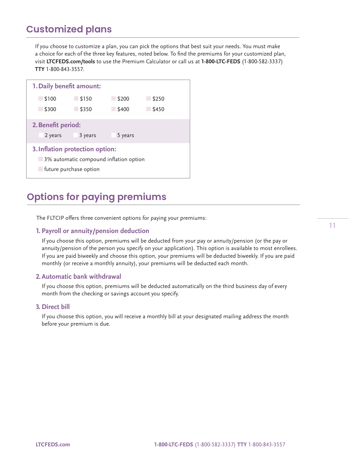# **Customized plans**

If you choose to customize a plan, you can pick the options that best suit your needs. You must make a choice for each of the three key features, noted below. To find the premiums for your customized plan, visit **[LTCFEDS.com/tools](http://LTCFEDS.com/tools)** to use the Premium Calculator or call us at **1-800-LTC-FEDS** (1-800-582-3337) **TTY** 1-800-843-3557.



# **Options for paying premiums**

The FLTCIP offers three convenient options for paying your premiums:

#### **1. Payroll or annuity/pension deduction**

If you choose this option, premiums will be deducted from your pay or annuity/pension (or the pay or annuity/pension of the person you specify on your application). This option is available to most enrollees. If you are paid biweekly and choose this option, your premiums will be deducted biweekly. If you are paid monthly (or receive a monthly annuity), your premiums will be deducted each month.

#### **2. Automatic bank withdrawal**

If you choose this option, premiums will be deducted automatically on the third business day of every month from the checking or savings account you specify.

#### **3. Direct bill**

If you choose this option, you will receive a monthly bill at your designated mailing address the month before your premium is due.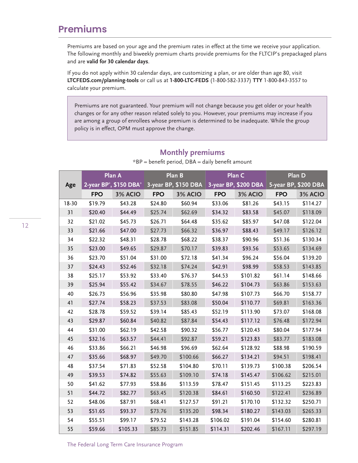### **Premiums**

Premiums are based on your age and the premium rates in effect at the time we receive your application. The following monthly and biweekly premium charts provide premiums for the FLTCIP's prepackaged plans and are **valid for 30 calendar days**.

If you do not apply within 30 calendar days, are customizing a plan, or are older than age 80, visit **[LTCFEDS.com/](http://LTCFEDS.com/planning-tools)planning-tools** or call us at **1-800-LTC-FEDS** (1-800-582-3337) **TTY** 1-800-843-3557 to calculate your premium.

Premiums are not guaranteed. Your premium will not change because you get older or your health changes or for any other reason related solely to you. However, your premiums may increase if you are among a group of enrollees whose premium is determined to be inadequate. While the group policy is in effect, OPM must approve the change.

| 3-year BP, \$150 DBA<br>2-year BP <sup>*</sup> , \$150 DBA <sup>*</sup><br>3-year BP, \$200 DBA<br>5-year BP, \$200 DBA<br>Age<br><b>FPO</b><br><b>FPO</b><br><b>FPO</b><br><b>FPO</b><br>3% ACIO<br>3% ACIO<br>3% ACIO<br>3% ACIO<br>18-30<br>\$19.79<br>\$43.28<br>\$24.80<br>\$60.94<br>\$33.06<br>\$81.26<br>\$43.15<br>\$114.27<br>31<br>\$44.49<br>\$83.58<br>\$118.09<br>\$20.40<br>\$25.74<br>\$62.69<br>\$34.32<br>\$45.07<br>\$64.48<br>\$35.62<br>\$85.97<br>\$47.08<br>\$122.04<br>32<br>\$21.02<br>\$45.73<br>\$26.71<br>33<br>\$21.66<br>\$47.00<br>\$66.32<br>\$36.97<br>\$88.43<br>\$49.17<br>\$126.12<br>\$27.73<br>\$22.32<br>\$48.31<br>\$28.78<br>\$68.22<br>\$38.37<br>\$90.96<br>\$51.36<br>\$130.34<br>34<br>35<br>\$134.69<br>\$23.00<br>\$49.65<br>\$29.87<br>\$70.17<br>\$39.83<br>\$93.56<br>\$53.65<br>\$31.00<br>\$56.04<br>\$23.70<br>\$51.04<br>\$72.18<br>\$41.34<br>\$96.24<br>\$139.20<br>36<br>\$74.24<br>37<br>\$24.43<br>\$52.46<br>\$32.18<br>\$42.91<br>\$98.99<br>\$58.53<br>\$143.85<br>38<br>\$25.17<br>\$53.92<br>\$33.40<br>\$76.37<br>\$44.53<br>\$101.82<br>\$61.14<br>\$148.66<br>39<br>\$25.94<br>\$55.42<br>\$34.67<br>\$78.55<br>\$46.22<br>\$63.86<br>\$153.63<br>\$104.73<br>40<br>\$26.73<br>\$56.96<br>\$35.98<br>\$80.80<br>\$47.98<br>\$107.73<br>\$66.70<br>\$158.77<br>41<br>\$27.74<br>\$58.23<br>\$37.53<br>\$83.08<br>\$50.04<br>\$110.77<br>\$69.81<br>\$163.36<br>\$28.78<br>\$85.43<br>\$52.19<br>\$168.08<br>42<br>\$59.52<br>\$39.14<br>\$113.90<br>\$73.07<br>43<br>\$172.94<br>\$29.87<br>\$60.84<br>\$40.82<br>\$87.84<br>\$54.43<br>\$117.12<br>\$76.48<br>\$31.00<br>\$62.19<br>\$90.32<br>\$56.77<br>\$120.43<br>\$80.04<br>44<br>\$42.58<br>\$177.94<br>45<br>\$32.16<br>\$63.57<br>\$44.41<br>\$92.87<br>\$59.21<br>\$83.77<br>\$183.08<br>\$123.83<br>\$33.86<br>\$62.64<br>\$190.59<br>46<br>\$66.21<br>\$46.98<br>\$96.69<br>\$128.92<br>\$88.98<br>47<br>\$198.41<br>\$35.66<br>\$68.97<br>\$49.70<br>\$100.66<br>\$66.27<br>\$134.21<br>\$94.51<br>48<br>\$37.54<br>\$71.83<br>\$52.58<br>\$104.80<br>\$70.11<br>\$139.73<br>\$100.38<br>\$206.54<br>49<br>\$39.53<br>\$74.82<br>\$55.63<br>\$109.10<br>\$74.18<br>\$145.47<br>\$106.62<br>\$215.01<br>50<br>\$41.62<br>\$77.93<br>\$58.86<br>\$113.59<br>\$78.47<br>\$151.45<br>\$113.25<br>\$223.83<br>51<br>\$44.72<br>\$84.61<br>\$160.50<br>\$236.89<br>\$82.77<br>\$63.45<br>\$120.38<br>\$122.41<br>52<br>\$48.06<br>\$87.91<br>\$68.41<br>\$127.57<br>\$91.21<br>\$170.10<br>\$132.32<br>\$250.71<br>53<br>\$51.65<br>\$135.20<br>\$98.34<br>\$143.03<br>\$93.37<br>\$73.76<br>\$180.27<br>\$265.33<br>54<br>\$55.51<br>\$99.17<br>\$143.28<br>\$106.02<br>\$280.81<br>\$79.52<br>\$191.04<br>\$154.60<br>55<br>\$59.66<br>\$105.33<br>\$85.73<br>\$151.85<br>\$114.31<br>\$202.46<br>\$167.11<br>\$297.19 |  | Plan A | Plan B | Plan C | Plan D |
|---------------------------------------------------------------------------------------------------------------------------------------------------------------------------------------------------------------------------------------------------------------------------------------------------------------------------------------------------------------------------------------------------------------------------------------------------------------------------------------------------------------------------------------------------------------------------------------------------------------------------------------------------------------------------------------------------------------------------------------------------------------------------------------------------------------------------------------------------------------------------------------------------------------------------------------------------------------------------------------------------------------------------------------------------------------------------------------------------------------------------------------------------------------------------------------------------------------------------------------------------------------------------------------------------------------------------------------------------------------------------------------------------------------------------------------------------------------------------------------------------------------------------------------------------------------------------------------------------------------------------------------------------------------------------------------------------------------------------------------------------------------------------------------------------------------------------------------------------------------------------------------------------------------------------------------------------------------------------------------------------------------------------------------------------------------------------------------------------------------------------------------------------------------------------------------------------------------------------------------------------------------------------------------------------------------------------------------------------------------------------------------------------------------------------------------------------------------------------------------------------------------------------------------------------------------------------------------------------------------------------------------------------------------------------------------------------------------------------------------------------------------------------------------------------------------------------------------------------|--|--------|--------|--------|--------|
|                                                                                                                                                                                                                                                                                                                                                                                                                                                                                                                                                                                                                                                                                                                                                                                                                                                                                                                                                                                                                                                                                                                                                                                                                                                                                                                                                                                                                                                                                                                                                                                                                                                                                                                                                                                                                                                                                                                                                                                                                                                                                                                                                                                                                                                                                                                                                                                                                                                                                                                                                                                                                                                                                                                                                                                                                                                   |  |        |        |        |        |
|                                                                                                                                                                                                                                                                                                                                                                                                                                                                                                                                                                                                                                                                                                                                                                                                                                                                                                                                                                                                                                                                                                                                                                                                                                                                                                                                                                                                                                                                                                                                                                                                                                                                                                                                                                                                                                                                                                                                                                                                                                                                                                                                                                                                                                                                                                                                                                                                                                                                                                                                                                                                                                                                                                                                                                                                                                                   |  |        |        |        |        |
|                                                                                                                                                                                                                                                                                                                                                                                                                                                                                                                                                                                                                                                                                                                                                                                                                                                                                                                                                                                                                                                                                                                                                                                                                                                                                                                                                                                                                                                                                                                                                                                                                                                                                                                                                                                                                                                                                                                                                                                                                                                                                                                                                                                                                                                                                                                                                                                                                                                                                                                                                                                                                                                                                                                                                                                                                                                   |  |        |        |        |        |
|                                                                                                                                                                                                                                                                                                                                                                                                                                                                                                                                                                                                                                                                                                                                                                                                                                                                                                                                                                                                                                                                                                                                                                                                                                                                                                                                                                                                                                                                                                                                                                                                                                                                                                                                                                                                                                                                                                                                                                                                                                                                                                                                                                                                                                                                                                                                                                                                                                                                                                                                                                                                                                                                                                                                                                                                                                                   |  |        |        |        |        |
|                                                                                                                                                                                                                                                                                                                                                                                                                                                                                                                                                                                                                                                                                                                                                                                                                                                                                                                                                                                                                                                                                                                                                                                                                                                                                                                                                                                                                                                                                                                                                                                                                                                                                                                                                                                                                                                                                                                                                                                                                                                                                                                                                                                                                                                                                                                                                                                                                                                                                                                                                                                                                                                                                                                                                                                                                                                   |  |        |        |        |        |
|                                                                                                                                                                                                                                                                                                                                                                                                                                                                                                                                                                                                                                                                                                                                                                                                                                                                                                                                                                                                                                                                                                                                                                                                                                                                                                                                                                                                                                                                                                                                                                                                                                                                                                                                                                                                                                                                                                                                                                                                                                                                                                                                                                                                                                                                                                                                                                                                                                                                                                                                                                                                                                                                                                                                                                                                                                                   |  |        |        |        |        |
|                                                                                                                                                                                                                                                                                                                                                                                                                                                                                                                                                                                                                                                                                                                                                                                                                                                                                                                                                                                                                                                                                                                                                                                                                                                                                                                                                                                                                                                                                                                                                                                                                                                                                                                                                                                                                                                                                                                                                                                                                                                                                                                                                                                                                                                                                                                                                                                                                                                                                                                                                                                                                                                                                                                                                                                                                                                   |  |        |        |        |        |
|                                                                                                                                                                                                                                                                                                                                                                                                                                                                                                                                                                                                                                                                                                                                                                                                                                                                                                                                                                                                                                                                                                                                                                                                                                                                                                                                                                                                                                                                                                                                                                                                                                                                                                                                                                                                                                                                                                                                                                                                                                                                                                                                                                                                                                                                                                                                                                                                                                                                                                                                                                                                                                                                                                                                                                                                                                                   |  |        |        |        |        |
|                                                                                                                                                                                                                                                                                                                                                                                                                                                                                                                                                                                                                                                                                                                                                                                                                                                                                                                                                                                                                                                                                                                                                                                                                                                                                                                                                                                                                                                                                                                                                                                                                                                                                                                                                                                                                                                                                                                                                                                                                                                                                                                                                                                                                                                                                                                                                                                                                                                                                                                                                                                                                                                                                                                                                                                                                                                   |  |        |        |        |        |
|                                                                                                                                                                                                                                                                                                                                                                                                                                                                                                                                                                                                                                                                                                                                                                                                                                                                                                                                                                                                                                                                                                                                                                                                                                                                                                                                                                                                                                                                                                                                                                                                                                                                                                                                                                                                                                                                                                                                                                                                                                                                                                                                                                                                                                                                                                                                                                                                                                                                                                                                                                                                                                                                                                                                                                                                                                                   |  |        |        |        |        |
|                                                                                                                                                                                                                                                                                                                                                                                                                                                                                                                                                                                                                                                                                                                                                                                                                                                                                                                                                                                                                                                                                                                                                                                                                                                                                                                                                                                                                                                                                                                                                                                                                                                                                                                                                                                                                                                                                                                                                                                                                                                                                                                                                                                                                                                                                                                                                                                                                                                                                                                                                                                                                                                                                                                                                                                                                                                   |  |        |        |        |        |
|                                                                                                                                                                                                                                                                                                                                                                                                                                                                                                                                                                                                                                                                                                                                                                                                                                                                                                                                                                                                                                                                                                                                                                                                                                                                                                                                                                                                                                                                                                                                                                                                                                                                                                                                                                                                                                                                                                                                                                                                                                                                                                                                                                                                                                                                                                                                                                                                                                                                                                                                                                                                                                                                                                                                                                                                                                                   |  |        |        |        |        |
|                                                                                                                                                                                                                                                                                                                                                                                                                                                                                                                                                                                                                                                                                                                                                                                                                                                                                                                                                                                                                                                                                                                                                                                                                                                                                                                                                                                                                                                                                                                                                                                                                                                                                                                                                                                                                                                                                                                                                                                                                                                                                                                                                                                                                                                                                                                                                                                                                                                                                                                                                                                                                                                                                                                                                                                                                                                   |  |        |        |        |        |
|                                                                                                                                                                                                                                                                                                                                                                                                                                                                                                                                                                                                                                                                                                                                                                                                                                                                                                                                                                                                                                                                                                                                                                                                                                                                                                                                                                                                                                                                                                                                                                                                                                                                                                                                                                                                                                                                                                                                                                                                                                                                                                                                                                                                                                                                                                                                                                                                                                                                                                                                                                                                                                                                                                                                                                                                                                                   |  |        |        |        |        |
|                                                                                                                                                                                                                                                                                                                                                                                                                                                                                                                                                                                                                                                                                                                                                                                                                                                                                                                                                                                                                                                                                                                                                                                                                                                                                                                                                                                                                                                                                                                                                                                                                                                                                                                                                                                                                                                                                                                                                                                                                                                                                                                                                                                                                                                                                                                                                                                                                                                                                                                                                                                                                                                                                                                                                                                                                                                   |  |        |        |        |        |
|                                                                                                                                                                                                                                                                                                                                                                                                                                                                                                                                                                                                                                                                                                                                                                                                                                                                                                                                                                                                                                                                                                                                                                                                                                                                                                                                                                                                                                                                                                                                                                                                                                                                                                                                                                                                                                                                                                                                                                                                                                                                                                                                                                                                                                                                                                                                                                                                                                                                                                                                                                                                                                                                                                                                                                                                                                                   |  |        |        |        |        |
|                                                                                                                                                                                                                                                                                                                                                                                                                                                                                                                                                                                                                                                                                                                                                                                                                                                                                                                                                                                                                                                                                                                                                                                                                                                                                                                                                                                                                                                                                                                                                                                                                                                                                                                                                                                                                                                                                                                                                                                                                                                                                                                                                                                                                                                                                                                                                                                                                                                                                                                                                                                                                                                                                                                                                                                                                                                   |  |        |        |        |        |
|                                                                                                                                                                                                                                                                                                                                                                                                                                                                                                                                                                                                                                                                                                                                                                                                                                                                                                                                                                                                                                                                                                                                                                                                                                                                                                                                                                                                                                                                                                                                                                                                                                                                                                                                                                                                                                                                                                                                                                                                                                                                                                                                                                                                                                                                                                                                                                                                                                                                                                                                                                                                                                                                                                                                                                                                                                                   |  |        |        |        |        |
|                                                                                                                                                                                                                                                                                                                                                                                                                                                                                                                                                                                                                                                                                                                                                                                                                                                                                                                                                                                                                                                                                                                                                                                                                                                                                                                                                                                                                                                                                                                                                                                                                                                                                                                                                                                                                                                                                                                                                                                                                                                                                                                                                                                                                                                                                                                                                                                                                                                                                                                                                                                                                                                                                                                                                                                                                                                   |  |        |        |        |        |
|                                                                                                                                                                                                                                                                                                                                                                                                                                                                                                                                                                                                                                                                                                                                                                                                                                                                                                                                                                                                                                                                                                                                                                                                                                                                                                                                                                                                                                                                                                                                                                                                                                                                                                                                                                                                                                                                                                                                                                                                                                                                                                                                                                                                                                                                                                                                                                                                                                                                                                                                                                                                                                                                                                                                                                                                                                                   |  |        |        |        |        |
|                                                                                                                                                                                                                                                                                                                                                                                                                                                                                                                                                                                                                                                                                                                                                                                                                                                                                                                                                                                                                                                                                                                                                                                                                                                                                                                                                                                                                                                                                                                                                                                                                                                                                                                                                                                                                                                                                                                                                                                                                                                                                                                                                                                                                                                                                                                                                                                                                                                                                                                                                                                                                                                                                                                                                                                                                                                   |  |        |        |        |        |
|                                                                                                                                                                                                                                                                                                                                                                                                                                                                                                                                                                                                                                                                                                                                                                                                                                                                                                                                                                                                                                                                                                                                                                                                                                                                                                                                                                                                                                                                                                                                                                                                                                                                                                                                                                                                                                                                                                                                                                                                                                                                                                                                                                                                                                                                                                                                                                                                                                                                                                                                                                                                                                                                                                                                                                                                                                                   |  |        |        |        |        |
|                                                                                                                                                                                                                                                                                                                                                                                                                                                                                                                                                                                                                                                                                                                                                                                                                                                                                                                                                                                                                                                                                                                                                                                                                                                                                                                                                                                                                                                                                                                                                                                                                                                                                                                                                                                                                                                                                                                                                                                                                                                                                                                                                                                                                                                                                                                                                                                                                                                                                                                                                                                                                                                                                                                                                                                                                                                   |  |        |        |        |        |
|                                                                                                                                                                                                                                                                                                                                                                                                                                                                                                                                                                                                                                                                                                                                                                                                                                                                                                                                                                                                                                                                                                                                                                                                                                                                                                                                                                                                                                                                                                                                                                                                                                                                                                                                                                                                                                                                                                                                                                                                                                                                                                                                                                                                                                                                                                                                                                                                                                                                                                                                                                                                                                                                                                                                                                                                                                                   |  |        |        |        |        |
|                                                                                                                                                                                                                                                                                                                                                                                                                                                                                                                                                                                                                                                                                                                                                                                                                                                                                                                                                                                                                                                                                                                                                                                                                                                                                                                                                                                                                                                                                                                                                                                                                                                                                                                                                                                                                                                                                                                                                                                                                                                                                                                                                                                                                                                                                                                                                                                                                                                                                                                                                                                                                                                                                                                                                                                                                                                   |  |        |        |        |        |
|                                                                                                                                                                                                                                                                                                                                                                                                                                                                                                                                                                                                                                                                                                                                                                                                                                                                                                                                                                                                                                                                                                                                                                                                                                                                                                                                                                                                                                                                                                                                                                                                                                                                                                                                                                                                                                                                                                                                                                                                                                                                                                                                                                                                                                                                                                                                                                                                                                                                                                                                                                                                                                                                                                                                                                                                                                                   |  |        |        |        |        |
|                                                                                                                                                                                                                                                                                                                                                                                                                                                                                                                                                                                                                                                                                                                                                                                                                                                                                                                                                                                                                                                                                                                                                                                                                                                                                                                                                                                                                                                                                                                                                                                                                                                                                                                                                                                                                                                                                                                                                                                                                                                                                                                                                                                                                                                                                                                                                                                                                                                                                                                                                                                                                                                                                                                                                                                                                                                   |  |        |        |        |        |
|                                                                                                                                                                                                                                                                                                                                                                                                                                                                                                                                                                                                                                                                                                                                                                                                                                                                                                                                                                                                                                                                                                                                                                                                                                                                                                                                                                                                                                                                                                                                                                                                                                                                                                                                                                                                                                                                                                                                                                                                                                                                                                                                                                                                                                                                                                                                                                                                                                                                                                                                                                                                                                                                                                                                                                                                                                                   |  |        |        |        |        |

### **Monthly premiums**

 $*BP = benefit period, DBA = daily benefit amount$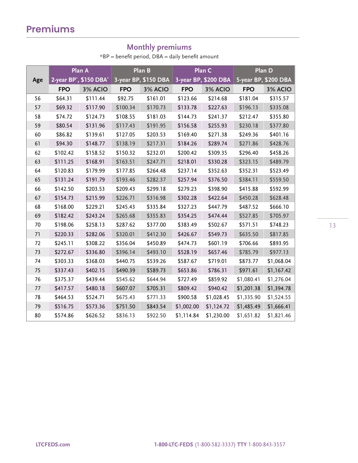### **Monthly premiums**

 $*BP = benefit period, DBA = daily benefit amount$ 

|     |            | Plan A                                          |            | Plan B               |            | Plan C               |            | Plan D               |
|-----|------------|-------------------------------------------------|------------|----------------------|------------|----------------------|------------|----------------------|
| Age |            | 2-year BP <sup>*</sup> , \$150 DBA <sup>*</sup> |            | 3-year BP, \$150 DBA |            | 3-year BP, \$200 DBA |            | 5-year BP, \$200 DBA |
|     | <b>FPO</b> | 3% ACIO                                         | <b>FPO</b> | 3% ACIO              | <b>FPO</b> | 3% ACIO              | <b>FPO</b> | 3% ACIO              |
| 56  | \$64.31    | \$111.44                                        | \$92.75    | \$161.01             | \$123.66   | \$214.68             | \$181.04   | \$315.57             |
| 57  | \$69.32    | \$117.90                                        | \$100.34   | \$170.73             | \$133.78   | \$227.63             | \$196.13   | \$335.08             |
| 58  | \$74.72    | \$124.73                                        | \$108.55   | \$181.03             | \$144.73   | \$241.37             | \$212.47   | \$355.80             |
| 59  | \$80.54    | \$131.96                                        | \$117.43   | \$191.95             | \$156.58   | \$255.93             | \$230.18   | \$377.80             |
| 60  | \$86.82    | \$139.61                                        | \$127.05   | \$203.53             | \$169.40   | \$271.38             | \$249.36   | \$401.16             |
| 61  | \$94.30    | \$148.77                                        | \$138.19   | \$217.31             | \$184.26   | \$289.74             | \$271.86   | \$428.76             |
| 62  | \$102.42   | \$158.52                                        | \$150.32   | \$232.01             | \$200.42   | \$309.35             | \$296.40   | \$458.26             |
| 63  | \$111.25   | \$168.91                                        | \$163.51   | \$247.71             | \$218.01   | \$330.28             | \$323.15   | \$489.79             |
| 64  | \$120.83   | \$179.99                                        | \$177.85   | \$264.48             | \$237.14   | \$352.63             | \$352.31   | \$523.49             |
| 65  | \$131.24   | \$191.79                                        | \$193.46   | \$282.37             | \$257.94   | \$376.50             | \$384.11   | \$559.50             |
| 66  | \$142.50   | \$203.53                                        | \$209.43   | \$299.18             | \$279.23   | \$398.90             | \$415.88   | \$592.99             |
| 67  | \$154.73   | \$215.99                                        | \$226.71   | \$316.98             | \$302.28   | \$422.64             | \$450.28   | \$628.48             |
| 68  | \$168.00   | \$229.21                                        | \$245.43   | \$335.84             | \$327.23   | \$447.79             | \$487.52   | \$666.10             |
| 69  | \$182.42   | \$243.24                                        | \$265.68   | \$355.83             | \$354.25   | \$474.44             | \$527.85   | \$705.97             |
| 70  | \$198.06   | \$258.13                                        | \$287.62   | \$377.00             | \$383.49   | \$502.67             | \$571.51   | \$748.23             |
| 71  | \$220.33   | \$282.06                                        | \$320.01   | \$412.30             | \$426.67   | \$549.73             | \$635.50   | \$817.85             |
| 72  | \$245.11   | \$308.22                                        | \$356.04   | \$450.89             | \$474.73   | \$601.19             | \$706.66   | \$893.95             |
| 73  | \$272.67   | \$336.80                                        | \$396.14   | \$493.10             | \$528.19   | \$657.46             | \$785.79   | \$977.13             |
| 74  | \$303.33   | \$368.03                                        | \$440.75   | \$539.26             | \$587.67   | \$719.01             | \$873.77   | \$1,068.04           |
| 75  | \$337.43   | \$402.15                                        | \$490.39   | \$589.73             | \$653.86   | \$786.31             | \$971.61   | \$1,167.42           |
| 76  | \$375.37   | \$439.44                                        | \$545.62   | \$644.94             | \$727.49   | \$859.92             | \$1,080.41 | \$1,276.04           |
| 77  | \$417.57   | \$480.18                                        | \$607.07   | \$705.31             | \$809.42   | \$940.42             | \$1,201.38 | \$1,394.78           |
| 78  | \$464.53   | \$524.71                                        | \$675.43   | \$771.33             | \$900.58   | \$1,028.45           | \$1,335.90 | \$1,524.55           |
| 79  | \$516.75   | \$573.36                                        | \$751.50   | \$843.54             | \$1,002.00 | \$1,124.72           | \$1,485.49 | \$1,666.41           |
| 80  | \$574.86   | \$626.52                                        | \$836.13   | \$922.50             | \$1,114.84 | \$1,230.00           | \$1,651.82 | \$1,821.46           |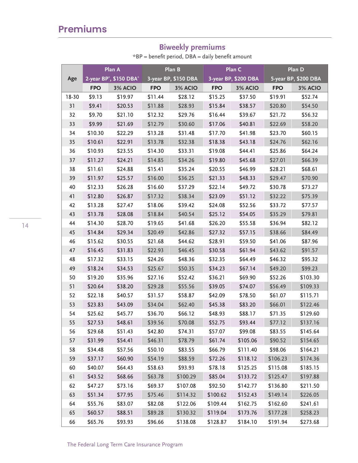# **Premiums**

### **Biweekly premiums**

 $*BP = benefit period, DBA = daily benefit amount$ 

|       |            | Plan A                                          |            | Plan B               | Plan C     |                      |            | Plan D               |  |
|-------|------------|-------------------------------------------------|------------|----------------------|------------|----------------------|------------|----------------------|--|
| Age   |            | 2-year BP <sup>*</sup> , \$150 DBA <sup>*</sup> |            | 3-year BP, \$150 DBA |            | 3-year BP, \$200 DBA |            | 5-year BP, \$200 DBA |  |
|       | <b>FPO</b> | 3% ACIO                                         | <b>FPO</b> | 3% ACIO              | <b>FPO</b> | 3% ACIO              | <b>FPO</b> | 3% ACIO              |  |
| 18-30 | \$9.13     | \$19.97                                         | \$11.44    | \$28.12              | \$15.25    | \$37.50              | \$19.91    | \$52.74              |  |
| 31    | \$9.41     | \$20.53                                         | \$11.88    | \$28.93              | \$15.84    | \$38.57              | \$20.80    | \$54.50              |  |
| 32    | \$9.70     | \$21.10                                         | \$12.32    | \$29.76              | \$16.44    | \$39.67              | \$21.72    | \$56.32              |  |
| 33    | \$9.99     | \$21.69                                         | \$12.79    | \$30.60              | \$17.06    | \$40.81              | \$22.69    | \$58.20              |  |
| 34    | \$10.30    | \$22.29                                         | \$13.28    | \$31.48              | \$17.70    | \$41.98              | \$23.70    | \$60.15              |  |
| 35    | \$10.61    | \$22.91                                         | \$13.78    | \$32.38              | \$18.38    | \$43.18              | \$24.76    | \$62.16              |  |
| 36    | \$10.93    | \$23.55                                         | \$14.30    | \$33.31              | \$19.08    | \$44.41              | \$25.86    | \$64.24              |  |
| 37    | \$11.27    | \$24.21                                         | \$14.85    | \$34.26              | \$19.80    | \$45.68              | \$27.01    | \$66.39              |  |
| 38    | \$11.61    | \$24.88                                         | \$15.41    | \$35.24              | \$20.55    | \$46.99              | \$28.21    | \$68.61              |  |
| 39    | \$11.97    | \$25.57                                         | \$16.00    | \$36.25              | \$21.33    | \$48.33              | \$29.47    | \$70.90              |  |
| 40    | \$12.33    | \$26.28                                         | \$16.60    | \$37.29              | \$22.14    | \$49.72              | \$30.78    | \$73.27              |  |
| 41    | \$12.80    | \$26.87                                         | \$17.32    | \$38.34              | \$23.09    | \$51.12              | \$32.22    | \$75.39              |  |
| 42    | \$13.28    | \$27.47                                         | \$18.06    | \$39.42              | \$24.08    | \$52.56              | \$33.72    | \$77.57              |  |
| 43    | \$13.78    | \$28.08                                         | \$18.84    | \$40.54              | \$25.12    | \$54.05              | \$35.29    | \$79.81              |  |
| 44    | \$14.30    | \$28.70                                         | \$19.65    | \$41.68              | \$26.20    | \$55.58              | \$36.94    | \$82.12              |  |
| 45    | \$14.84    | \$29.34                                         | \$20.49    | \$42.86              | \$27.32    | \$57.15              | \$38.66    | \$84.49              |  |
| 46    | \$15.62    | \$30.55                                         | \$21.68    | \$44.62              | \$28.91    | \$59.50              | \$41.06    | \$87.96              |  |
| 47    | \$16.45    | \$31.83                                         | \$22.93    | \$46.45              | \$30.58    | \$61.94              | \$43.62    | \$91.57              |  |
| 48    | \$17.32    | \$33.15                                         | \$24.26    | \$48.36              | \$32.35    | \$64.49              | \$46.32    | \$95.32              |  |
| 49    | \$18.24    | \$34.53                                         | \$25.67    | \$50.35              | \$34.23    | \$67.14              | \$49.20    | \$99.23              |  |
| 50    | \$19.20    | \$35.96                                         | \$27.16    | \$52.42              | \$36.21    | \$69.90              | \$52.26    | \$103.30             |  |
| 51    | \$20.64    | \$38.20                                         | \$29.28    | \$55.56              | \$39.05    | \$74.07              | \$56.49    | \$109.33             |  |
| 52    | \$22.18    | \$40.57                                         | \$31.57    | \$58.87              | \$42.09    | \$78.50              | \$61.07    | \$115.71             |  |
| 53    | \$23.83    | \$43.09                                         | \$34.04    | \$62.40              | \$45.38    | \$83.20              | \$66.01    | \$122.46             |  |
| 54    | \$25.62    | \$45.77                                         | \$36.70    | \$66.12              | \$48.93    | \$88.17              | \$71.35    | \$129.60             |  |
| 55    | \$27.53    | \$48.61                                         | \$39.56    | \$70.08              | \$52.75    | \$93.44              | \$77.12    | \$137.16             |  |
| 56    | \$29.68    | \$51.43                                         | \$42.80    | \$74.31              | \$57.07    | \$99.08              | \$83.55    | \$145.64             |  |
| 57    | \$31.99    | \$54.41                                         | \$46.31    | \$78.79              | \$61.74    | \$105.06             | \$90.52    | \$154.65             |  |
| 58    | \$34.48    | \$57.56                                         | \$50.10    | \$83.55              | \$66.79    | \$111.40             | \$98.06    | \$164.21             |  |
| 59    | \$37.17    | \$60.90                                         | \$54.19    | \$88.59              | \$72.26    | \$118.12             | \$106.23   | \$174.36             |  |
| 60    | \$40.07    | \$64.43                                         | \$58.63    | \$93.93              | \$78.18    | \$125.25             | \$115.08   | \$185.15             |  |
| 61    | \$43.52    | \$68.66                                         | \$63.78    | \$100.29             | \$85.04    | \$133.72             | \$125.47   | \$197.88             |  |
| 62    | \$47.27    | \$73.16                                         | \$69.37    | \$107.08             | \$92.50    | \$142.77             | \$136.80   | \$211.50             |  |
| 63    | \$51.34    | \$77.95                                         | \$75.46    | \$114.32             | \$100.62   | \$152.43             | \$149.14   | \$226.05             |  |
| 64    | \$55.76    | \$83.07                                         | \$82.08    | \$122.06             | \$109.44   | \$162.75             | \$162.60   | \$241.61             |  |
| 65    | \$60.57    | \$88.51                                         | \$89.28    | \$130.32             | \$119.04   | \$173.76             | \$177.28   | \$258.23             |  |
| 66    | \$65.76    | \$93.93                                         | \$96.66    | \$138.08             | \$128.87   | \$184.10             | \$191.94   | \$273.68             |  |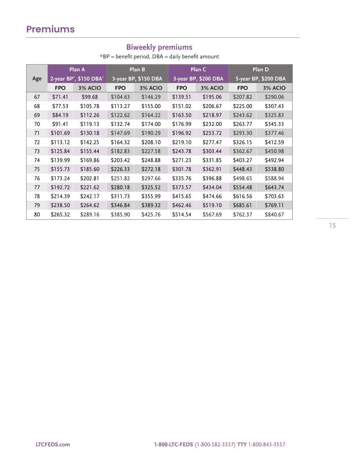### **Biweekly premiums**

 $*BP = benefit period, DBA = daily benefit amount$ 

|     |            | Plan A                                          |            | Plan B               |            | Plan C               |            | Plan D               |
|-----|------------|-------------------------------------------------|------------|----------------------|------------|----------------------|------------|----------------------|
| Age |            | 2-year BP <sup>*</sup> , \$150 DBA <sup>*</sup> |            | 3-year BP, \$150 DBA |            | 3-year BP, \$200 DBA |            | 5-year BP, \$200 DBA |
|     | <b>FPO</b> | 3% ACIO                                         | <b>FPO</b> | 3% ACIO              | <b>FPO</b> | 3% ACIO              | <b>FPO</b> | 3% ACIO              |
| 67  | \$71.41    | \$99.68                                         | \$104.63   | \$146.29             | \$139.51   | \$195.06             | \$207.82   | \$290.06             |
| 68  | \$77.53    | \$105.78                                        | \$113.27   | \$155.00             | \$151.02   | \$206.67             | \$225.00   | \$307.43             |
| 69  | \$84.19    | \$112.26                                        | \$122.62   | \$164.22             | \$163.50   | \$218.97             | \$243.62   | \$325.83             |
| 70  | \$91.41    | \$119.13                                        | \$132.74   | \$174.00             | \$176.99   | \$232.00             | \$263.77   | \$345.33             |
| 71  | \$101.69   | \$130.18                                        | \$147.69   | \$190.29             | \$196.92   | \$253.72             | \$293.30   | \$377.46             |
| 72  | \$113.12   | \$142.25                                        | \$164.32   | \$208.10             | \$219.10   | \$277.47             | \$326.15   | \$412.59             |
| 73  | \$125.84   | \$155.44                                        | \$182.83   | \$227.58             | \$243.78   | \$303.44             | \$362.67   | \$450.98             |
| 74  | \$139.99   | \$169.86                                        | \$203.42   | \$248.88             | \$271.23   | \$331.85             | \$403.27   | \$492.94             |
| 75  | \$155.73   | \$185.60                                        | \$226.33   | \$272.18             | \$301.78   | \$362.91             | \$448.43   | \$538.80             |
| 76  | \$173.24   | \$202.81                                        | \$251.82   | \$297.66             | \$335.76   | \$396.88             | \$498.65   | \$588.94             |
| 77  | \$192.72   | \$221.62                                        | \$280.18   | \$325.52             | \$373.57   | \$434.04             | \$554.48   | \$643.74             |
| 78  | \$214.39   | \$242.17                                        | \$311.73   | \$355.99             | \$415.65   | \$474.66             | \$616.56   | \$703.63             |
| 79  | \$238.50   | \$264.62                                        | \$346.84   | \$389.32             | \$462.46   | \$519.10             | \$685.61   | \$769.11             |
| 80  | \$265.32   | \$289.16                                        | \$385.90   | \$425.76             | \$514.54   | \$567.69             | \$762.37   | \$840.67             |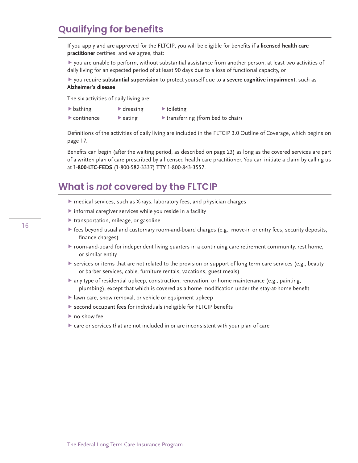# **Qualifying for benefits**

If you apply and are approved for the FLTCIP, you will be eligible for benefits if a **licensed health care practitioner** certifies, and we agree, that:

 you are unable to perform, without substantial assistance from another person, at least two activities of daily living for an expected period of at least 90 days due to a loss of functional capacity, or

#### you require **substantial supervision** to protect yourself due to a **severe cognitive impairment**, such as **Alzheimer's disease**

The six activities of daily living are:

- bathing bathing bathing
- $\triangleright$  continence  $\triangleright$  eating  $\triangleright$  transferring (from bed to chair)
- 

Definitions of the activities of daily living are included in the FLTCIP 3.0 Outline of Coverage, which begins on page 17.

Benefits can begin (after the waiting period, as described on page 23) as long as the covered services are part of a written plan of care prescribed by a licensed health care practitioner. You can initiate a claim by calling us at **1-800-LTC-FEDS** (1-800-582-3337) **TTY** 1-800-843-3557.

### **What is** *not* **covered by the FLTCIP**

- medical services, such as X-rays, laboratory fees, and physician charges
- informal caregiver services while you reside in a facility
- $\blacktriangleright$  transportation, mileage, or gasoline
- fees beyond usual and customary room-and-board charges (e.g., move-in or entry fees, security deposits, finance charges)
- room-and-board for independent living quarters in a continuing care retirement community, rest home, or similar entity
- services or items that are not related to the provision or support of long term care services (e.g., beauty or barber services, cable, furniture rentals, vacations, guest meals)
- any type of residential upkeep, construction, renovation, or home maintenance (e.g., painting, plumbing), except that which is covered as a home modification under the stay-at-home benefit
- lawn care, snow removal, or vehicle or equipment upkeep
- second occupant fees for individuals ineligible for FLTCIP benefits
- ▶ no-show fee
- $\triangleright$  care or services that are not included in or are inconsistent with your plan of care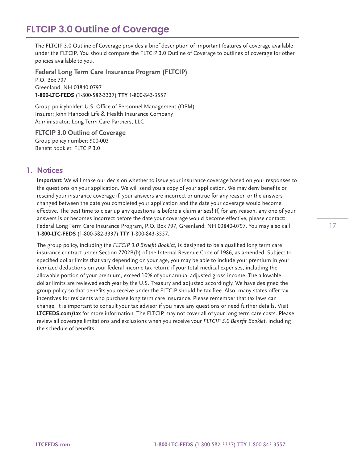The FLTCIP 3.0 Outline of Coverage provides a brief description of important features of coverage available under the FLTCIP. You should compare the FLTCIP 3.0 Outline of Coverage to outlines of coverage for other policies available to you.

**Federal Long Term Care Insurance Program (FLTCIP)**  P.O. Box 797 Greenland, NH 03840-0797 **1-800-LTC-FEDS** (1-800-582-3337) **TTY** 1-800-843-3557

Group policyholder: U.S. Office of Personnel Management (OPM) Insurer: John Hancock Life & Health Insurance Company Administrator: Long Term Care Partners, LLC

**FLTCIP 3.0 Outline of Coverage**  Group policy number: 900-003 Benefit booklet: FLTCIP 3.0

### **1. Notices**

**Important:** We will make our decision whether to issue your insurance coverage based on your responses to the questions on your application. We will send you a copy of your application. We may deny benefits or rescind your insurance coverage if: your answers are incorrect or untrue for any reason or the answers changed between the date you completed your application and the date your coverage would become effective. The best time to clear up any questions is before a claim arises! If, for any reason, any one of your answers is or becomes incorrect before the date your coverage would become effective, please contact: Federal Long Term Care Insurance Program, P.O. Box 797, Greenland, NH 03840-0797. You may also call **1-800-LTC-FEDS** (1-800-582-3337) **TTY** 1-800-843-3557.

The group policy, including the *FLTCIP 3.0 Benefit Booklet*, is designed to be a qualified long term care insurance contract under Section 7702B(b) of the Internal Revenue Code of 1986, as amended. Subject to specified dollar limits that vary depending on your age, you may be able to include your premium in your itemized deductions on your federal income tax return, if your total medical expenses, including the allowable portion of your premium, exceed 10% of your annual adjusted gross income. The allowable dollar limits are reviewed each year by the U.S. Treasury and adjusted accordingly. We have designed the group policy so that benefits you receive under the FLTCIP should be tax-free. Also, many states offer tax incentives for residents who purchase long term care insurance. Please remember that tax laws can change. It is important to consult your tax advisor if you have any questions or need further details. Visit **[LTCFEDS.com/tax](http://LTCFEDS.com/tax)** for more information. The FLTCIP may not cover all of your long term care costs. Please review all coverage limitations and exclusions when you receive your *FLTCIP 3.0 Benefit Booklet*, including the schedule of benefits.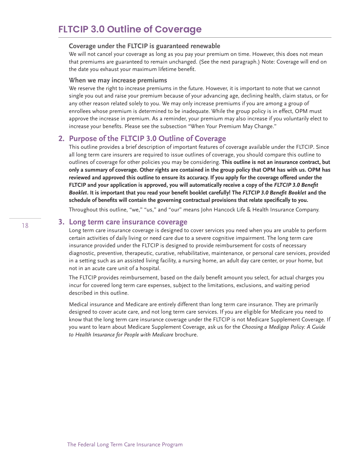#### **Coverage under the FLTCIP is guaranteed renewable**

We will not cancel your coverage as long as you pay your premium on time. However, this does not mean that premiums are guaranteed to remain unchanged. (See the next paragraph.) Note: Coverage will end on the date you exhaust your maximum lifetime benefit.

#### **When we may increase premiums**

We reserve the right to increase premiums in the future. However, it is important to note that we cannot single you out and raise your premium because of your advancing age, declining health, claim status, or for any other reason related solely to you. We may only increase premiums if you are among a group of enrollees whose premium is determined to be inadequate. While the group policy is in effect, OPM must approve the increase in premium. As a reminder, your premium may also increase if you voluntarily elect to increase your benefits. Please see the subsection "When Your Premium May Change."

### **2. Purpose of the FLTCIP 3.0 Outline of Coverage**

This outline provides a brief description of important features of coverage available under the FLTCIP. Since all long term care insurers are required to issue outlines of coverage, you should compare this outline to outlines of coverage for other policies you may be considering. **This outline is not an insurance contract, but only a summary of coverage. Other rights are contained in the group policy that OPM has with us. OPM has reviewed and approved this outline to ensure its accuracy. If you apply for the coverage offered under the FLTCIP and your application is approved, you will automatically receive a copy of the** *FLTCIP 3.0 Benefit Booklet***. It is important that you read your benefit booklet carefully! The** *FLTCIP 3.0 Benefit Booklet* **and the schedule of benefits will contain the governing contractual provisions that relate specifically to you.**

Throughout this outline, "we," "us," and "our" means John Hancock Life & Health Insurance Company.

#### **3. Long term care insurance coverage**

Long term care insurance coverage is designed to cover services you need when you are unable to perform certain activities of daily living or need care due to a severe cognitive impairment. The long term care insurance provided under the FLTCIP is designed to provide reimbursement for costs of necessary diagnostic, preventive, therapeutic, curative, rehabilitative, maintenance, or personal care services, provided in a setting such as an assisted living facility, a nursing home, an adult day care center, or your home, but not in an acute care unit of a hospital.

The FLTCIP provides reimbursement, based on the daily benefit amount you select, for actual charges you incur for covered long term care expenses, subject to the limitations, exclusions, and waiting period described in this outline.

Medical insurance and Medicare are entirely different than long term care insurance. They are primarily designed to cover acute care, and not long term care services. If you are eligible for Medicare you need to know that the long term care insurance coverage under the FLTCIP is not Medicare Supplement Coverage. If you want to learn about Medicare Supplement Coverage, ask us for the *Choosing a Medigap Policy: A Guide to Health Insurance for People with Medicare* brochure.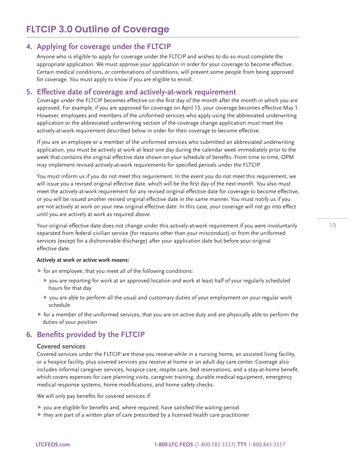### **4. Applying for coverage under the FLTCIP**

Anyone who is eligible to apply for coverage under the FLTCIP and wishes to do so must complete the appropriate application. We must approve your application in order for your coverage to become effective. Certain medical conditions, or combinations of conditions, will prevent some people from being approved for coverage. You must apply to know if you are eligible to enroll.

### **5. Effective date of coverage and actively-at-work requirement**

Coverage under the FLTCIP becomes effective on the first day of the month after the month in which you are approved. For example, if you are approved for coverage on April 15, your coverage becomes effective May 1. However, employees and members of the uniformed services who apply using the abbreviated underwriting application or the abbreviated underwriting section of the coverage change application must meet the actively-at-work requirement described below in order for their coverage to become effective.

If you are an employee or a member of the uniformed services who submitted an abbreviated underwriting application, you must be actively at work at least one day during the calendar week immediately prior to the week that contains the original effective date shown on your schedule of benefits. From time to time, OPM may implement revised actively-at-work requirements for specified periods under the FLTCIP.

You must inform us if you do not meet this requirement. In the event you do not meet this requirement, we will issue you a revised original effective date, which will be the first day of the next month. You also must meet the actively-at-work requirement for any revised original effective date for coverage to become effective, or you will be issued another revised original effective date in the same manner. You must notify us if you are not actively at work on your new original effective date. In this case, your coverage will not go into effect until you are actively at work as required above.

Your original effective date does not change under this actively-at-work requirement if you were involuntarily separated from federal civilian service (for reasons other than your misconduct) or from the uniformed services (except for a dishonorable discharge) after your application date but before your original effective date.

#### **Actively at work or active work means:**

- $\triangleright$  for an employee, that you meet all of the following conditions:
	- you are reporting for work at an approved location and work at least half of your regularly scheduled hours for that day
	- you are able to perform all the usual and customary duties of your employment on your regular work schedule
- $\blacktriangleright$  for a member of the uniformed services, that you are on active duty and are physically able to perform the duties of your position

### **6. Benefits provided by the FLTCIP**

#### **Covered services**

Covered services under the FLTCIP are those you receive while in a nursing home, an assisted living facility, or a hospice facility, plus covered services you receive at home or an adult day care center. Coverage also includes informal caregiver services, hospice care, respite care, bed reservations, and a stay-at-home benefit, which covers expenses for care planning visits, caregiver training, durable medical equipment, emergency medical response systems, home modifications, and home safety checks.

We will only pay benefits for covered services if:

- you are eligible for benefits and, where required, have satisfied the waiting period
- $\blacktriangleright$  they are part of a written plan of care prescribed by a licensed health care practitioner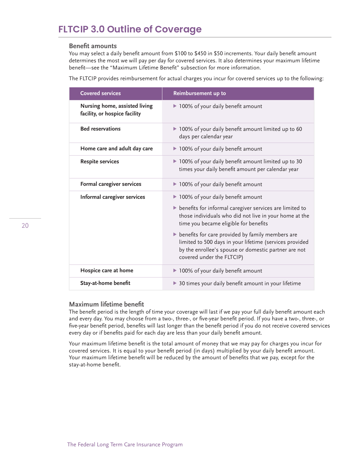#### **Benefit amounts**

You may select a daily benefit amount from \$100 to \$450 in \$50 increments. Your daily benefit amount determines the most we will pay per day for covered services. It also determines your maximum lifetime benefit—see the "Maximum Lifetime Benefit" subsection for more information.

The FLTCIP provides reimbursement for actual charges you incur for covered services up to the following:

| <b>Covered services</b>                                        | Reimbursement up to                                                                                                                                                                                                                                                                                              |
|----------------------------------------------------------------|------------------------------------------------------------------------------------------------------------------------------------------------------------------------------------------------------------------------------------------------------------------------------------------------------------------|
| Nursing home, assisted living<br>facility, or hospice facility | ▶ 100% of your daily benefit amount                                                                                                                                                                                                                                                                              |
| <b>Bed reservations</b>                                        | ▶ 100% of your daily benefit amount limited up to 60<br>days per calendar year                                                                                                                                                                                                                                   |
| Home care and adult day care                                   | ▶ 100% of your daily benefit amount                                                                                                                                                                                                                                                                              |
| <b>Respite services</b>                                        | ▶ 100% of your daily benefit amount limited up to 30<br>times your daily benefit amount per calendar year                                                                                                                                                                                                        |
| Formal caregiver services                                      | ▶ 100% of your daily benefit amount                                                                                                                                                                                                                                                                              |
| Informal caregiver services                                    | ▶ 100% of your daily benefit amount<br>benefits for informal caregiver services are limited to<br>those individuals who did not live in your home at the<br>time you became eligible for benefits<br>benefits for care provided by family members are<br>limited to 500 days in your lifetime (services provided |
|                                                                | by the enrollee's spouse or domestic partner are not<br>covered under the FLTCIP)                                                                                                                                                                                                                                |
| Hospice care at home                                           | ▶ 100% of your daily benefit amount                                                                                                                                                                                                                                                                              |
| Stay-at-home benefit                                           | ▶ 30 times your daily benefit amount in your lifetime                                                                                                                                                                                                                                                            |

#### **Maximum lifetime benefit**

The benefit period is the length of time your coverage will last if we pay your full daily benefit amount each and every day. You may choose from a two-, three-, or five-year benefit period. If you have a two-, three-, or five-year benefit period, benefits will last longer than the benefit period if you do not receive covered services every day or if benefits paid for each day are less than your daily benefit amount.

Your maximum lifetime benefit is the total amount of money that we may pay for charges you incur for covered services. It is equal to your benefit period (in days) multiplied by your daily benefit amount. Your maximum lifetime benefit will be reduced by the amount of benefits that we pay, except for the stay-at-home benefit.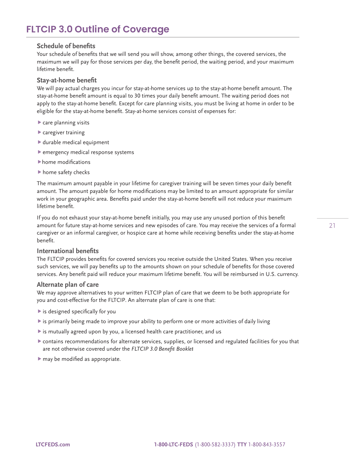#### **Schedule of benefits**

Your schedule of benefits that we will send you will show, among other things, the covered services, the maximum we will pay for those services per day, the benefit period, the waiting period, and your maximum lifetime benefit.

#### **Stay-at-home benefit**

We will pay actual charges you incur for stay-at-home services up to the stay-at-home benefit amount. The stay-at-home benefit amount is equal to 30 times your daily benefit amount. The waiting period does not apply to the stay-at-home benefit. Except for care planning visits, you must be living at home in order to be eligible for the stay-at-home benefit. Stay-at-home services consist of expenses for:

- care planning visits
- caregiver training
- durable medical equipment
- emergency medical response systems
- home modifications
- home safety checks

The maximum amount payable in your lifetime for caregiver training will be seven times your daily benefit amount. The amount payable for home modifications may be limited to an amount appropriate for similar work in your geographic area. Benefits paid under the stay-at-home benefit will not reduce your maximum lifetime benefit.

If you do not exhaust your stay-at-home benefit initially, you may use any unused portion of this benefit amount for future stay-at-home services and new episodes of care. You may receive the services of a formal caregiver or an informal caregiver, or hospice care at home while receiving benefits under the stay-at-home benefit.

#### **International benefits**

The FLTCIP provides benefits for covered services you receive outside the United States. When you receive such services, we will pay benefits up to the amounts shown on your schedule of benefits for those covered services. Any benefit paid will reduce your maximum lifetime benefit. You will be reimbursed in U.S. currency.

#### **Alternate plan of care**

We may approve alternatives to your written FLTCIP plan of care that we deem to be both appropriate for you and cost-effective for the FLTCIP. An alternate plan of care is one that:

- $\blacktriangleright$  is designed specifically for you
- $\blacktriangleright$  is primarily being made to improve your ability to perform one or more activities of daily living
- $\blacktriangleright$  is mutually agreed upon by you, a licensed health care practitioner, and us
- contains recommendations for alternate services, supplies, or licensed and regulated facilities for you that are not otherwise covered under the *FLTCIP 3.0 Benefit Booklet*
- $\blacktriangleright$  may be modified as appropriate.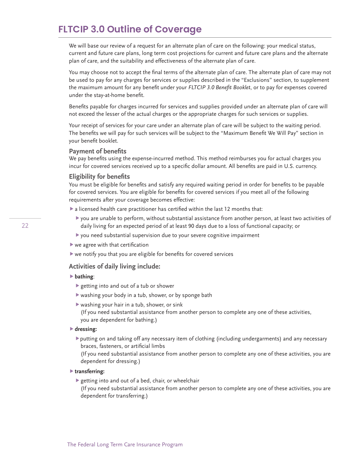We will base our review of a request for an alternate plan of care on the following: your medical status, current and future care plans, long term cost projections for current and future care plans and the alternate plan of care, and the suitability and effectiveness of the alternate plan of care.

You may choose not to accept the final terms of the alternate plan of care. The alternate plan of care may not be used to pay for any charges for services or supplies described in the "Exclusions" section, to supplement the maximum amount for any benefit under your *FLTCIP 3.0 Benefit Booklet*, or to pay for expenses covered under the stay-at-home benefit.

Benefits payable for charges incurred for services and supplies provided under an alternate plan of care will not exceed the lesser of the actual charges or the appropriate charges for such services or supplies.

Your receipt of services for your care under an alternate plan of care will be subject to the waiting period. The benefits we will pay for such services will be subject to the "Maximum Benefit We Will Pay" section in your benefit booklet.

#### **Payment of benefits**

We pay benefits using the expense-incurred method. This method reimburses you for actual charges you incur for covered services received up to a specific dollar amount. All benefits are paid in U.S. currency.

#### **Eligibility for benefits**

You must be eligible for benefits and satisfy any required waiting period in order for benefits to be payable for covered services. You are eligible for benefits for covered services if you meet all of the following requirements after your coverage becomes effective:

a licensed health care practitioner has certified within the last 12 months that:

- you are unable to perform, without substantial assistance from another person, at least two activities of daily living for an expected period of at least 90 days due to a loss of functional capacity; or
- you need substantial supervision due to your severe cognitive impairment
- $\blacktriangleright$  we agree with that certification
- $\blacktriangleright$  we notify you that you are eligible for benefits for covered services

#### **Activities of daily living include:**

#### **bathing**:

- getting into and out of a tub or shower
- washing your body in a tub, shower, or by sponge bath
- $\blacktriangleright$  washing your hair in a tub, shower, or sink

(If you need substantial assistance from another person to complete any one of these activities, you are dependent for bathing.)

#### **dressing:**

putting on and taking off any necessary item of clothing (including undergarments) and any necessary braces, fasteners, or artificial limbs

(If you need substantial assistance from another person to complete any one of these activities, you are dependent for dressing.)

#### **transferring:**

 $\blacktriangleright$  getting into and out of a bed, chair, or wheelchair

(If you need substantial assistance from another person to complete any one of these activities, you are dependent for transferring.)

22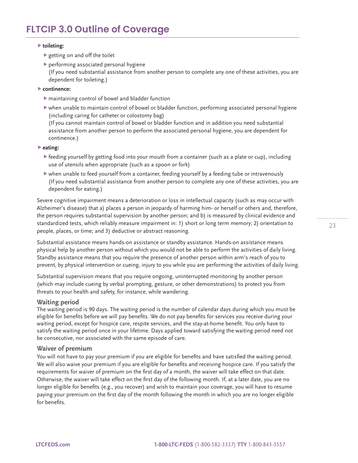#### **toileting:**

- getting on and off the toilet
- performing associated personal hygiene (If you need substantial assistance from another person to complete any one of these activities, you are dependent for toileting.)
- **continence:**
	- maintaining control of bowel and bladder function
	- when unable to maintain control of bowel or bladder function, performing associated personal hygiene (including caring for catheter or colostomy bag) (If you cannot maintain control of bowel or bladder function and in addition you need substantial assistance from another person to perform the associated personal hygiene, you are dependent for continence.)
- **eating:**
	- $\blacktriangleright$  feeding yourself by getting food into your mouth from a container (such as a plate or cup), including use of utensils when appropriate (such as a spoon or fork)
	- when unable to feed yourself from a container, feeding yourself by a feeding tube or intravenously (If you need substantial assistance from another person to complete any one of these activities, you are dependent for eating.)

Severe cognitive impairment means a deterioration or loss in intellectual capacity (such as may occur with Alzheimer's disease) that a) places a person in jeopardy of harming him- or herself or others and, therefore, the person requires substantial supervision by another person; and b) is measured by clinical evidence and standardized tests, which reliably measure impairment in: 1) short or long term memory; 2) orientation to people, places, or time; and 3) deductive or abstract reasoning.

Substantial assistance means hands-on assistance or standby assistance. Hands-on assistance means physical help by another person without which you would not be able to perform the activities of daily living. Standby assistance means that you require the presence of another person within arm's reach of you to prevent, by physical intervention or cueing, injury to you while you are performing the activities of daily living.

Substantial supervision means that you require ongoing, uninterrupted monitoring by another person (which may include cueing by verbal prompting, gesture, or other demonstrations) to protect you from threats to your health and safety, for instance, while wandering.

#### **Waiting period**

The waiting period is 90 days. The waiting period is the number of calendar days during which you must be eligible for benefits before we will pay benefits. We do not pay benefits for services you receive during your waiting period, except for hospice care, respite services, and the stay-at-home benefit. You only have to satisfy the waiting period once in your lifetime. Days applied toward satisfying the waiting period need not be consecutive, nor associated with the same episode of care.

#### **Waiver of premium**

You will not have to pay your premium if you are eligible for benefits and have satisfied the waiting period. We will also waive your premium if you are eligible for benefits and receiving hospice care. If you satisfy the requirements for waiver of premium on the first day of a month, the waiver will take effect on that date. Otherwise, the waiver will take effect on the first day of the following month. If, at a later date, you are no longer eligible for benefits (e.g., you recover) and wish to maintain your coverage, you will have to resume paying your premium on the first day of the month following the month in which you are no longer eligible for benefits.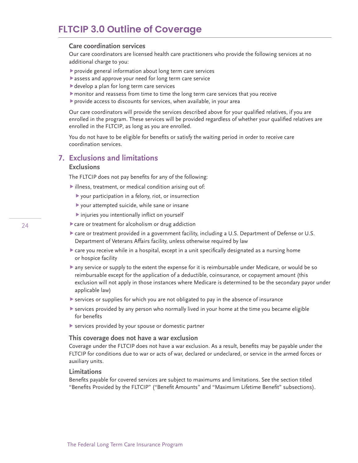#### **Care coordination services**

Our care coordinators are licensed health care practitioners who provide the following services at no additional charge to you:

- provide general information about long term care services
- assess and approve your need for long term care service
- develop a plan for long term care services
- monitor and reassess from time to time the long term care services that you receive
- provide access to discounts for services, when available, in your area

Our care coordinators will provide the services described above for your qualified relatives, if you are enrolled in the program. These services will be provided regardless of whether your qualified relatives are enrolled in the FLTCIP, as long as you are enrolled.

You do not have to be eligible for benefits or satisfy the waiting period in order to receive care coordination services.

### **7. Exclusions and limitations**

#### **Exclusions**

The FLTCIP does not pay benefits for any of the following:

- illness, treatment, or medical condition arising out of:
	- your participation in a felony, riot, or insurrection
	- your attempted suicide, while sane or insane
	- injuries you intentionally inflict on yourself
- care or treatment for alcoholism or drug addiction
- care or treatment provided in a government facility, including a U.S. Department of Defense or U.S. Department of Veterans Affairs facility, unless otherwise required by law
- care you receive while in a hospital, except in a unit specifically designated as a nursing home or hospice facility
- any service or supply to the extent the expense for it is reimbursable under Medicare, or would be so reimbursable except for the application of a deductible, coinsurance, or copayment amount (this exclusion will not apply in those instances where Medicare is determined to be the secondary payor under applicable law)
- services or supplies for which you are not obligated to pay in the absence of insurance
- $\blacktriangleright$  services provided by any person who normally lived in your home at the time you became eligible for benefits
- services provided by your spouse or domestic partner

#### **This coverage does not have a war exclusion**

Coverage under the FLTCIP does not have a war exclusion. As a result, benefits may be payable under the FLTCIP for conditions due to war or acts of war, declared or undeclared, or service in the armed forces or auxiliary units.

#### **Limitations**

Benefits payable for covered services are subject to maximums and limitations. See the section titled "Benefits Provided by the FLTCIP" ("Benefit Amounts" and "Maximum Lifetime Benefit" subsections).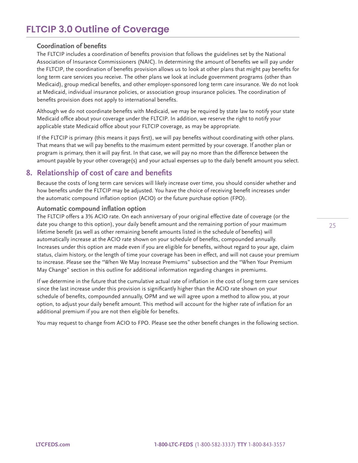### **Coordination of benefits**

The FLTCIP includes a coordination of benefits provision that follows the guidelines set by the National Association of Insurance Commissioners (NAIC). In determining the amount of benefits we will pay under the FLTCIP, the coordination of benefits provision allows us to look at other plans that might pay benefits for long term care services you receive. The other plans we look at include government programs (other than Medicaid), group medical benefits, and other employer-sponsored long term care insurance. We do not look at Medicaid, individual insurance policies, or association group insurance policies. The coordination of benefits provision does not apply to international benefits.

Although we do not coordinate benefits with Medicaid, we may be required by state law to notify your state Medicaid office about your coverage under the FLTCIP. In addition, we reserve the right to notify your applicable state Medicaid office about your FLTCIP coverage, as may be appropriate.

If the FLTCIP is primary (this means it pays first), we will pay benefits without coordinating with other plans. That means that we will pay benefits to the maximum extent permitted by your coverage. If another plan or program is primary, then it will pay first. In that case, we will pay no more than the difference between the amount payable by your other coverage(s) and your actual expenses up to the daily benefit amount you select.

### **8. Relationship of cost of care and benefits**

Because the costs of long term care services will likely increase over time, you should consider whether and how benefits under the FLTCIP may be adjusted. You have the choice of receiving benefit increases under the automatic compound inflation option (ACIO) or the future purchase option (FPO).

#### **Automatic compound inflation option**

The FLTCIP offers a 3% ACIO rate. On each anniversary of your original effective date of coverage (or the date you change to this option), your daily benefit amount and the remaining portion of your maximum lifetime benefit (as well as other remaining benefit amounts listed in the schedule of benefits) will automatically increase at the ACIO rate shown on your schedule of benefits, compounded annually. Increases under this option are made even if you are eligible for benefits, without regard to your age, claim status, claim history, or the length of time your coverage has been in effect, and will not cause your premium to increase. Please see the "When We May Increase Premiums" subsection and the "When Your Premium May Change" section in this outline for additional information regarding changes in premiums.

If we determine in the future that the cumulative actual rate of inflation in the cost of long term care services since the last increase under this provision is significantly higher than the ACIO rate shown on your schedule of benefits, compounded annually, OPM and we will agree upon a method to allow you, at your option, to adjust your daily benefit amount. This method will account for the higher rate of inflation for an additional premium if you are not then eligible for benefits.

You may request to change from ACIO to FPO. Please see the other benefit changes in the following section.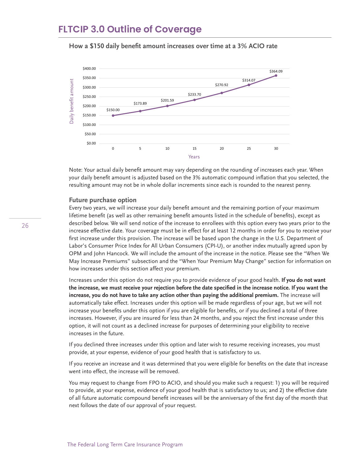



Note: Your actual daily benefit amount may vary depending on the rounding of increases each year. When your daily benefit amount is adjusted based on the 3% automatic compound inflation that you selected, the resulting amount may not be in whole dollar increments since each is rounded to the nearest penny.

#### **Future purchase option**

Every two years, we will increase your daily benefit amount and the remaining portion of your maximum lifetime benefit (as well as other remaining benefit amounts listed in the schedule of benefits), except as described below. We will send notice of the increase to enrollees with this option every two years prior to the increase effective date. Your coverage must be in effect for at least 12 months in order for you to receive your first increase under this provision. The increase will be based upon the change in the U.S. Department of Labor's Consumer Price Index for All Urban Consumers (CPI-U), or another index mutually agreed upon by OPM and John Hancock. We will include the amount of the increase in the notice. Please see the "When We May Increase Premiums" subsection and the "When Your Premium May Change" section for information on how increases under this section affect your premium.

Increases under this option do not require you to provide evidence of your good health. **If you do not want the increase, we must receive your rejection before the date specified in the increase notice. If you want the increase, you do not have to take any action other than paying the additional premium.** The increase will automatically take effect. Increases under this option will be made regardless of your age, but we will not increase your benefits under this option if you are eligible for benefits, or if you declined a total of three increases. However, if you are insured for less than 24 months, and you reject the first increase under this option, it will not count as a declined increase for purposes of determining your eligibility to receive increases in the future.

If you declined three increases under this option and later wish to resume receiving increases, you must provide, at your expense, evidence of your good health that is satisfactory to us.

If you receive an increase and it was determined that you were eligible for benefits on the date that increase went into effect, the increase will be removed.

You may request to change from FPO to ACIO, and should you make such a request: 1) you will be required to provide, at your expense, evidence of your good health that is satisfactory to us; and 2) the effective date of all future automatic compound benefit increases will be the anniversary of the first day of the month that next follows the date of our approval of your request.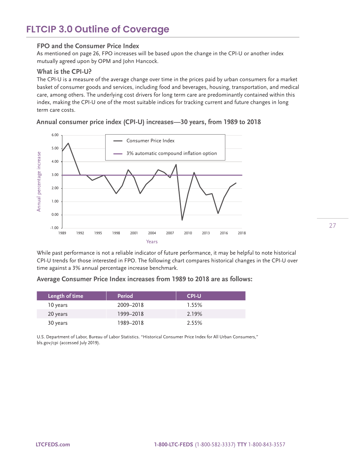#### **FPO and the Consumer Price Index**

As mentioned on page 26, FPO increases will be based upon the change in the CPI-U or another index mutually agreed upon by OPM and John Hancock.

#### **What is the CPI-U?**

The CPI-U is a measure of the average change over time in the prices paid by urban consumers for a market basket of consumer goods and services, including food and beverages, housing, transportation, and medical care, among others. The underlying cost drivers for long term care are predominantly contained within this index, making the CPI-U one of the most suitable indices for tracking current and future changes in long term care costs.

### **Annual consumer price index (CPI-U) increases—30 years, from 1989 to 2018**



While past performance is not a reliable indicator of future performance, it may be helpful to note historical CPI-U trends for those interested in FPO. The following chart compares historical changes in the CPI-U over time against a 3% annual percentage increase benchmark.

#### **Average Consumer Price Index increases from 1989 to 2018 are as follows:**

| Length of time | Period    | <b>CPI-U</b> |  |
|----------------|-----------|--------------|--|
| 10 years       | 2009-2018 | 1.55%        |  |
| 20 years       | 1999-2018 | 2.19%        |  |
| 30 years       | 1989-2018 | 2.55%        |  |

U.S. Department of Labor, Bureau of Labor Statistics. "Historical Consumer Price Index for All Urban Consumers," [bls.gov/cpi \(](http://bls.gov/cpi)accessed July 2019).

27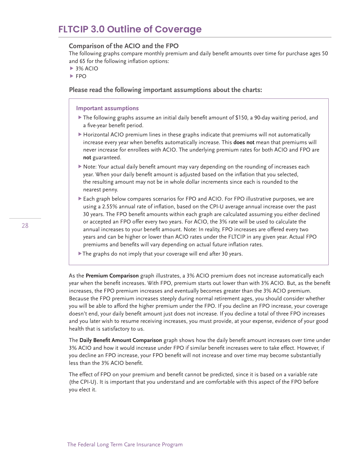#### **Comparison of the ACIO and the FPO**

The following graphs compare monthly premium and daily benefit amounts over time for purchase ages 50 and 65 for the following inflation options:

- ▶ 3% ACIO
- $FPO$

**Please read the following important assumptions about the charts:**

#### **Important assumptions**

- The following graphs assume an initial daily benefit amount of \$150, a 90-day waiting period, and a five-year benefit period.
- Horizontal ACIO premium lines in these graphs indicate that premiums will not automatically increase every year when benefits automatically increase. This **does not** mean that premiums will never increase for enrollees with ACIO. The underlying premium rates for both ACIO and FPO are **not** guaranteed.
- Note: Your actual daily benefit amount may vary depending on the rounding of increases each year. When your daily benefit amount is adjusted based on the inflation that you selected, the resulting amount may not be in whole dollar increments since each is rounded to the nearest penny.
- Each graph below compares scenarios for FPO and ACIO. For FPO illustrative purposes, we are using a 2.55% annual rate of inflation, based on the CPI-U average annual increase over the past 30 years. The FPO benefit amounts within each graph are calculated assuming you either declined or accepted an FPO offer every two years. For ACIO, the 3% rate will be used to calculate the annual increases to your benefit amount. Note: In reality, FPO increases are offered every two years and can be higher or lower than ACIO rates under the FLTCIP in any given year. Actual FPO premiums and benefits will vary depending on actual future inflation rates.
- The graphs do not imply that your coverage will end after 30 years.

As the **Premium Comparison** graph illustrates, a 3% ACIO premium does not increase automatically each year when the benefit increases. With FPO, premium starts out lower than with 3% ACIO. But, as the benefit increases, the FPO premium increases and eventually becomes greater than the 3% ACIO premium. Because the FPO premium increases steeply during normal retirement ages, you should consider whether you will be able to afford the higher premium under the FPO. If you decline an FPO increase, your coverage doesn't end, your daily benefit amount just does not increase. If you decline a total of three FPO increases and you later wish to resume receiving increases, you must provide, at your expense, evidence of your good health that is satisfactory to us.

The **Daily Benefit Amount Comparison** graph shows how the daily benefit amount increases over time under 3% ACIO and how it would increase under FPO if similar benefit increases were to take effect. However, if you decline an FPO increase, your FPO benefit will not increase and over time may become substantially less than the 3% ACIO benefit.

The effect of FPO on your premium and benefit cannot be predicted, since it is based on a variable rate (the CPI-U). It is important that you understand and are comfortable with this aspect of the FPO before you elect it.

28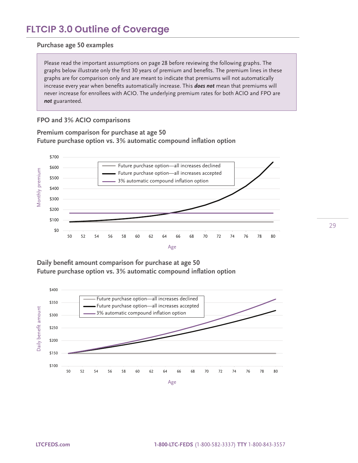#### **Purchase age 50 examples**

Please read the important assumptions on page 28 before reviewing the following graphs. The graphs below illustrate only the first 30 years of premium and benefits. The premium lines in these graphs are for comparison only and are meant to indicate that premiums will not automatically increase every year when benefits automatically increase. This *does not* mean that premiums will never increase for enrollees with ACIO. The underlying premium rates for both ACIO and FPO are *not* guaranteed.

### **FPO and 3% ACIO comparisons**

**Premium comparison for purchase at age 50 Future purchase option vs. 3% automatic compound inflation option**



**Daily benefit amount comparison for purchase at age 50 Future purchase option vs. 3% automatic compound inflation option**

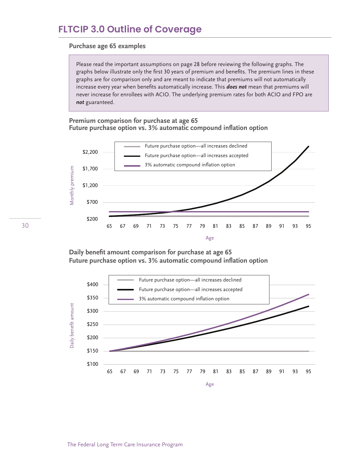#### **Purchase age 65 examples**

Please read the important assumptions on page 28 before reviewing the following graphs. The graphs below illustrate only the first 30 years of premium and benefits. The premium lines in these graphs are for comparison only and are meant to indicate that premiums will not automatically increase every year when benefits automatically increase. This *does not* mean that premiums will never increase for enrollees with ACIO. The underlying premium rates for both ACIO and FPO are *not* guaranteed.

#### **Premium comparison for purchase at age 65 Future purchase option vs. 3% automatic compound inflation option**



**Daily benefit amount comparison for purchase at age 65 Future purchase option vs. 3% automatic compound inflation option**

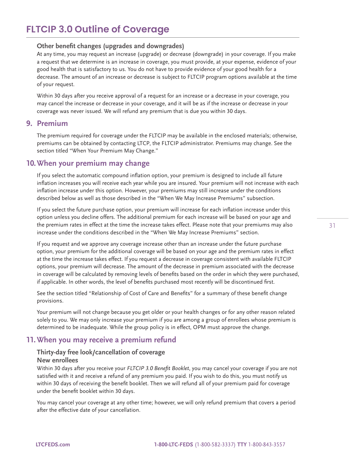#### **Other benefit changes (upgrades and downgrades)**

At any time, you may request an increase (upgrade) or decrease (downgrade) in your coverage. If you make a request that we determine is an increase in coverage, you must provide, at your expense, evidence of your good health that is satisfactory to us. You do not have to provide evidence of your good health for a decrease. The amount of an increase or decrease is subject to FLTCIP program options available at the time of your request.

Within 30 days after you receive approval of a request for an increase or a decrease in your coverage, you may cancel the increase or decrease in your coverage, and it will be as if the increase or decrease in your coverage was never issued. We will refund any premium that is due you within 30 days.

#### **9. Premium**

The premium required for coverage under the FLTCIP may be available in the enclosed materials; otherwise, premiums can be obtained by contacting LTCP, the FLTCIP administrator. Premiums may change. See the section titled "When Your Premium May Change."

### **10. When your premium may change**

If you select the automatic compound inflation option, your premium is designed to include all future inflation increases you will receive each year while you are insured. Your premium will not increase with each inflation increase under this option. However, your premiums may still increase under the conditions described below as well as those described in the "When We May Increase Premiums" subsection.

If you select the future purchase option, your premium will increase for each inflation increase under this option unless you decline offers. The additional premium for each increase will be based on your age and the premium rates in effect at the time the increase takes effect. Please note that your premiums may also increase under the conditions described in the "When We May Increase Premiums" section.

If you request and we approve any coverage increase other than an increase under the future purchase option, your premium for the additional coverage will be based on your age and the premium rates in effect at the time the increase takes effect. If you request a decrease in coverage consistent with available FLTCIP options, your premium will decrease. The amount of the decrease in premium associated with the decrease in coverage will be calculated by removing levels of benefits based on the order in which they were purchased, if applicable. In other words, the level of benefits purchased most recently will be discontinued first.

See the section titled "Relationship of Cost of Care and Benefits" for a summary of these benefit change provisions.

Your premium will not change because you get older or your health changes or for any other reason related solely to you. We may only increase your premium if you are among a group of enrollees whose premium is determined to be inadequate. While the group policy is in effect, OPM must approve the change.

### **11. When you may receive a premium refund**

### **Thirty-day free look/cancellation of coverage**

### **New enrollees**

Within 30 days after you receive your *FLTCIP 3.0 Benefit Booklet*, you may cancel your coverage if you are not satisfied with it and receive a refund of any premium you paid. If you wish to do this, you must notify us within 30 days of receiving the benefit booklet. Then we will refund all of your premium paid for coverage under the benefit booklet within 30 days.

You may cancel your coverage at any other time; however, we will only refund premium that covers a period after the effective date of your cancellation.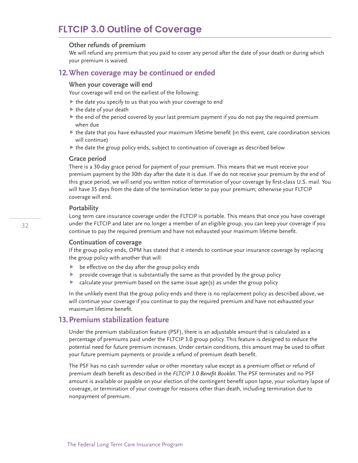#### **Other refunds of premium**

We will refund any premium that you paid to cover any period after the date of your death or during which your premium is waived.

### **12. When coverage may be continued or ended**

#### **When your coverage will end**

Your coverage will end on the earliest of the following:

- $\blacktriangleright$  the date you specify to us that you wish your coverage to end
- $\blacktriangleright$  the date of your death
- $\blacktriangleright$  the end of the period covered by your last premium payment if you do not pay the required premium when due
- $\blacktriangleright$  the date that you have exhausted your maximum lifetime benefit (in this event, care coordination services will continue)
- the date the group policy ends, subject to continuation of coverage as described below

#### **Grace period**

There is a 30-day grace period for payment of your premium. This means that we must receive your premium payment by the 30th day after the date it is due. If we do not receive your premium by the end of this grace period, we will send you written notice of termination of your coverage by first-class U.S. mail. You will have 35 days from the date of the termination letter to pay your premium; otherwise your FLTCIP coverage will end.

#### **Portability**

Long term care insurance coverage under the FLTCIP is portable. This means that once you have coverage under the FLTCIP and later are no longer a member of an eligible group, you can keep your coverage if you continue to pay the required premium and have not exhausted your maximum lifetime benefit.

#### **Continuation of coverage**

If the group policy ends, OPM has stated that it intends to continue your insurance coverage by replacing the group policy with another that will:

- be effective on the day after the group policy ends
- provide coverage that is substantially the same as that provided by the group policy
- calculate your premium based on the same issue age(s) as under the group policy

In the unlikely event that the group policy ends and there is no replacement policy as described above, we will continue your coverage if you continue to pay the required premium and have not exhausted your maximum lifetime benefit.

### **13. Premium stabilization feature**

Under the premium stabilization feature (PSF), there is an adjustable amount that is calculated as a percentage of premiums paid under the FLTCIP 3.0 group policy. This feature is designed to reduce the potential need for future premium increases. Under certain conditions, this amount may be used to offset your future premium payments or provide a refund of premium death benefit.

The PSF has no cash surrender value or other monetary value except as a premium offset or refund of premium death benefit as described in the *FLTCIP 3.0 Benefit Booklet*. The PSF terminates and no PSF amount is available or payable on your election of the contingent benefit upon lapse, your voluntary lapse of coverage, or termination of your coverage for reasons other than death, including termination due to nonpayment of premium.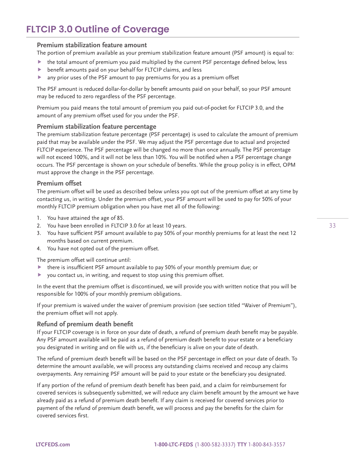#### **Premium stabilization feature amount**

The portion of premium available as your premium stabilization feature amount (PSF amount) is equal to:

- $\blacktriangleright$  the total amount of premium you paid multiplied by the current PSF percentage defined below, less
- benefit amounts paid on your behalf for FLTCIP claims, and less
- any prior uses of the PSF amount to pay premiums for you as a premium offset

The PSF amount is reduced dollar-for-dollar by benefit amounts paid on your behalf, so your PSF amount may be reduced to zero regardless of the PSF percentage.

Premium you paid means the total amount of premium you paid out-of-pocket for FLTCIP 3.0, and the amount of any premium offset used for you under the PSF.

#### **Premium stabilization feature percentage**

The premium stabilization feature percentage (PSF percentage) is used to calculate the amount of premium paid that may be available under the PSF. We may adjust the PSF percentage due to actual and projected FLTCIP experience. The PSF percentage will be changed no more than once annually. The PSF percentage will not exceed 100%, and it will not be less than 10%. You will be notified when a PSF percentage change occurs. The PSF percentage is shown on your schedule of benefits. While the group policy is in effect, OPM must approve the change in the PSF percentage.

#### **Premium offset**

The premium offset will be used as described below unless you opt out of the premium offset at any time by contacting us, in writing. Under the premium offset, your PSF amount will be used to pay for 50% of your monthly FLTCIP premium obligation when you have met all of the following:

- 1. You have attained the age of 85.
- 2. You have been enrolled in FLTCIP 3.0 for at least 10 years.
- 3. You have sufficient PSF amount available to pay 50% of your monthly premiums for at least the next 12 months based on current premium.
- 4. You have not opted out of the premium offset.

The premium offset will continue until:

- $\blacktriangleright$  there is insufficient PSF amount available to pay 50% of your monthly premium due; or
- you contact us, in writing, and request to stop using this premium offset.

In the event that the premium offset is discontinued, we will provide you with written notice that you will be responsible for 100% of your monthly premium obligations.

If your premium is waived under the waiver of premium provision (see section titled "Waiver of Premium"), the premium offset will not apply.

#### **Refund of premium death benefit**

If your FLTCIP coverage is in force on your date of death, a refund of premium death benefit may be payable. Any PSF amount available will be paid as a refund of premium death benefit to your estate or a beneficiary you designated in writing and on file with us, if the beneficiary is alive on your date of death.

The refund of premium death benefit will be based on the PSF percentage in effect on your date of death. To determine the amount available, we will process any outstanding claims received and recoup any claims overpayments. Any remaining PSF amount will be paid to your estate or the beneficiary you designated.

If any portion of the refund of premium death benefit has been paid, and a claim for reimbursement for covered services is subsequently submitted, we will reduce any claim benefit amount by the amount we have already paid as a refund of premium death benefit. If any claim is received for covered services prior to payment of the refund of premium death benefit, we will process and pay the benefits for the claim for covered services first.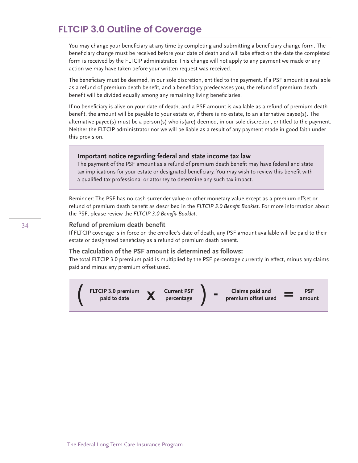You may change your beneficiary at any time by completing and submitting a beneficiary change form. The beneficiary change must be received before your date of death and will take effect on the date the completed form is received by the FLTCIP administrator. This change will not apply to any payment we made or any action we may have taken before your written request was received.

The beneficiary must be deemed, in our sole discretion, entitled to the payment. If a PSF amount is available as a refund of premium death benefit, and a beneficiary predeceases you, the refund of premium death benefit will be divided equally among any remaining living beneficiaries.

If no beneficiary is alive on your date of death, and a PSF amount is available as a refund of premium death benefit, the amount will be payable to your estate or, if there is no estate, to an alternative payee(s). The alternative payee(s) must be a person(s) who is(are) deemed, in our sole discretion, entitled to the payment. Neither the FLTCIP administrator nor we will be liable as a result of any payment made in good faith under this provision.

#### **Important notice regarding federal and state income tax law**

The payment of the PSF amount as a refund of premium death benefit may have federal and state tax implications for your estate or designated beneficiary. You may wish to review this benefit with a qualified tax professional or attorney to determine any such tax impact.

Reminder: The PSF has no cash surrender value or other monetary value except as a premium offset or refund of premium death benefit as described in the *FLTCIP 3.0 Benefit Booklet*. For more information about the PSF, please review the *FLTCIP 3.0 Benefit Booklet*.

#### **Refund of premium death benefit**

If FLTCIP coverage is in force on the enrollee's date of death, any PSF amount available will be paid to their estate or designated beneficiary as a refund of premium death benefit.

#### **The calculation of the PSF amount is determined as follows:**

The total FLTCIP 3.0 premium paid is multiplied by the PSF percentage currently in effect, minus any claims paid and minus any premium offset used.

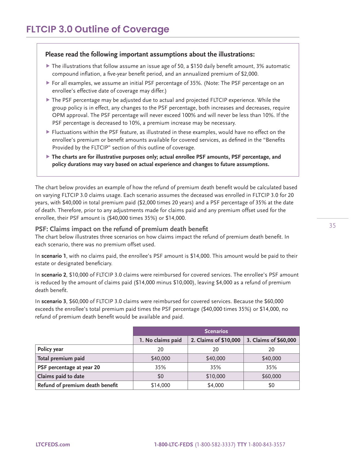#### **Please read the following important assumptions about the illustrations:**

- $\blacktriangleright$  The illustrations that follow assume an issue age of 50, a \$150 daily benefit amount, 3% automatic compound inflation, a five-year benefit period, and an annualized premium of \$2,000.
- For all examples, we assume an initial PSF percentage of 35%. (Note: The PSF percentage on an enrollee's effective date of coverage may differ.)
- The PSF percentage may be adjusted due to actual and projected FLTCIP experience. While the group policy is in effect, any changes to the PSF percentage, both increases and decreases, require OPM approval. The PSF percentage will never exceed 100% and will never be less than 10%. If the PSF percentage is decreased to 10%, a premium increase may be necessary.
- $\blacktriangleright$  Fluctuations within the PSF feature, as illustrated in these examples, would have no effect on the enrollee's premium or benefit amounts available for covered services, as defined in the "Benefits Provided by the FLTCIP" section of this outline of coverage.
- **The charts are for illustrative purposes only; actual enrollee PSF amounts, PSF percentage, and policy durations may vary based on actual experience and changes to future assumptions.**

The chart below provides an example of how the refund of premium death benefit would be calculated based on varying FLTCIP 3.0 claims usage. Each scenario assumes the deceased was enrolled in FLTCIP 3.0 for 20 years, with \$40,000 in total premium paid (\$2,000 times 20 years) and a PSF percentage of 35% at the date of death. Therefore, prior to any adjustments made for claims paid and any premium offset used for the enrollee, their PSF amount is (\$40,000 times 35%) or \$14,000.

#### **PSF: Claims impact on the refund of premium death benefit**

The chart below illustrates three scenarios on how claims impact the refund of premium death benefit. In each scenario, there was no premium offset used.

In **scenario 1**, with no claims paid, the enrollee's PSF amount is \$14,000. This amount would be paid to their estate or designated beneficiary.

In **scenario 2**, \$10,000 of FLTCIP 3.0 claims were reimbursed for covered services. The enrollee's PSF amount is reduced by the amount of claims paid (\$14,000 minus \$10,000), leaving \$4,000 as a refund of premium death benefit.

In **scenario 3**, \$60,000 of FLTCIP 3.0 claims were reimbursed for covered services. Because the \$60,000 exceeds the enrollee's total premium paid times the PSF percentage (\$40,000 times 35%) or \$14,000, no refund of premium death benefit would be available and paid.

|                                 | <b>Scenarios</b>  |                       |                       |  |  |
|---------------------------------|-------------------|-----------------------|-----------------------|--|--|
|                                 | 1. No claims paid | 2. Claims of \$10,000 | 3. Claims of \$60,000 |  |  |
| Policy year                     | 20                | 20                    | 20                    |  |  |
| Total premium paid              | \$40,000          | \$40,000              | \$40,000              |  |  |
| PSF percentage at year 20       | 35%               | 35%                   | 35%                   |  |  |
| Claims paid to date             | \$0               | \$10,000              | \$60,000              |  |  |
| Refund of premium death benefit | \$14,000          | \$4,000               | \$0                   |  |  |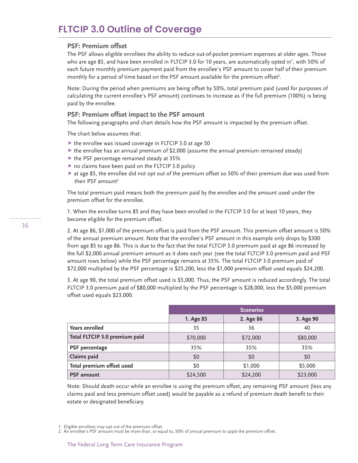#### **PSF: Premium offset**

The PSF allows eligible enrollees the ability to reduce out-of-pocket premium expenses at older ages. Those who are age 85, and have been enrolled in FLTCIP 3.0 for 10 years, are automatically opted in<sup>1</sup>, with 50% of each future monthly premium payment paid from the enrollee's PSF amount to cover half of their premium monthly for a period of time based on the PSF amount available for the premium offset<sup>2</sup>.

Note: During the period when premiums are being offset by 50%, total premium paid (used for purposes of calculating the current enrollee's PSF amount) continues to increase as if the full premium (100%) is being paid by the enrollee.

#### **PSF: Premium offset impact to the PSF amount**

The following paragraphs and chart details how the PSF amount is impacted by the premium offset.

The chart below assumes that:

- $\triangleright$  the enrollee was issued coverage in FLTCIP 3.0 at age 50
- $\triangleright$  the enrollee has an annual premium of \$2,000 (assume the annual premium remained steady)
- $\blacktriangleright$  the PSF percentage remained steady at 35%
- ▶ no claims have been paid on the FLTCIP 3.0 policy
- $\triangleright$  at age 85, the enrollee did not opt out of the premium offset so 50% of their premium due was used from their PSF amount<sup>2</sup>

The total premium paid means both the premium paid by the enrollee and the amount used under the premium offset for the enrollee.

1. When the enrollee turns 85 and they have been enrolled in the FLTCIP 3.0 for at least 10 years, they become eligible for the premium offset.

2. At age 86, \$1,000 of the premium offset is paid from the PSF amount. This premium offset amount is 50% of the annual premium amount. Note that the enrollee's PSF amount in this example only drops by \$300 from age 85 to age 86. This is due to the fact that the total FLTCIP 3.0 premium paid at age 86 increased by the full \$2,000 annual premium amount as it does each year (see the total FLTCIP 3.0 premium paid and PSF amount rows below) while the PSF percentage remains at 35%. The total FLTCIP 3.0 premium paid of \$72,000 multiplied by the PSF percentage is \$25,200, less the \$1,000 premium offset used equals \$24,200.

3. At age 90, the total premium offset used is \$5,000. Thus, the PSF amount is reduced accordingly. The total FLTCIP 3.0 premium paid of \$80,000 multiplied by the PSF percentage is \$28,000, less the \$5,000 premium offset used equals \$23,000.

|                               | <b>Scenarios</b> |           |           |  |  |  |
|-------------------------------|------------------|-----------|-----------|--|--|--|
|                               | 1. Age 85        | 2. Age 86 | 3. Age 90 |  |  |  |
| <b>Years enrolled</b>         | 35               | 36        | 40        |  |  |  |
| Total FLTCIP 3.0 premium paid | \$70,000         | \$72,000  | \$80,000  |  |  |  |
| <b>PSF</b> percentage         | 35%              | 35%       | 35%       |  |  |  |
| Claims paid                   | \$0              | \$0       | \$0       |  |  |  |
| Total premium offset used     | \$0              | \$1,000   | \$5,000   |  |  |  |
| <b>PSF</b> amount             | \$24,500         | \$24,200  | \$23,000  |  |  |  |

Note: Should death occur while an enrollee is using the premium offset, any remaining PSF amount (less any claims paid and less premium offset used) would be payable as a refund of premium death benefit to their estate or designated beneficiary.

2. An enrollee's PSF amount must be more than, or equal to, 50% of annual premium to apply the premium offset.

<sup>1.</sup> Eligible enrollees may opt out of the premium offset.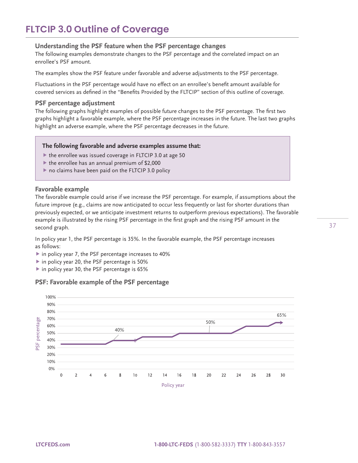#### **Understanding the PSF feature when the PSF percentage changes**

The following examples demonstrate changes to the PSF percentage and the correlated impact on an enrollee's PSF amount.

The examples show the PSF feature under favorable and adverse adjustments to the PSF percentage.

Fluctuations in the PSF percentage would have no effect on an enrollee's benefit amount available for covered services as defined in the "Benefits Provided by the FLTCIP" section of this outline of coverage.

#### **PSF percentage adjustment**

The following graphs highlight examples of possible future changes to the PSF percentage. The first two graphs highlight a favorable example, where the PSF percentage increases in the future. The last two graphs highlight an adverse example, where the PSF percentage decreases in the future.

#### **The following favorable and adverse examples assume that:**

- $\triangleright$  the enrollee was issued coverage in FLTCIP 3.0 at age 50
- $\blacktriangleright$  the enrollee has an annual premium of \$2,000
- $\triangleright$  no claims have been paid on the FLTCIP 3.0 policy

#### **Favorable example**

The favorable example could arise if we increase the PSF percentage. For example, if assumptions about the future improve (e.g., claims are now anticipated to occur less frequently or last for shorter durations than previously expected, or we anticipate investment returns to outperform previous expectations). The favorable example is illustrated by the rising PSF percentage in the first graph and the rising PSF amount in the second graph.

In policy year 1, the PSF percentage is 35%. In the favorable example, the PSF percentage increases as follows:

- ▶ in policy year 7, the PSF percentage increases to 40%
- ▶ in policy year 20, the PSF percentage is 50%
- ▶ in policy year 30, the PSF percentage is 65%

#### **PSF: Favorable example of the PSF percentage**

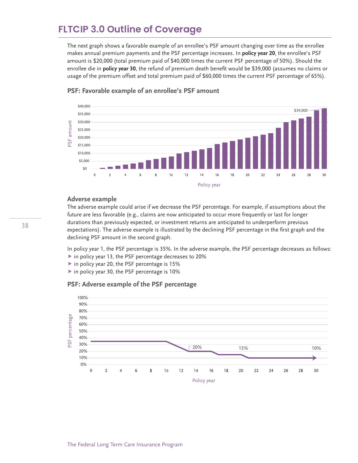The next graph shows a favorable example of an enrollee's PSF amount changing over time as the enrollee makes annual premium payments and the PSF percentage increases. In **policy year 20**, the enrollee's PSF amount is \$20,000 (total premium paid of \$40,000 times the current PSF percentage of 50%). Should the enrollee die in **policy year 30**, the refund of premium death benefit would be \$39,000 (assumes no claims or usage of the premium offset and total premium paid of \$60,000 times the current PSF percentage of 65%).



#### **PSF: Favorable example of an enrollee's PSF amount**

#### **Adverse example**

The adverse example could arise if we decrease the PSF percentage. For example, if assumptions about the future are less favorable (e.g., claims are now anticipated to occur more frequently or last for longer durations than previously expected, or investment returns are anticipated to underperform previous expectations). The adverse example is illustrated by the declining PSF percentage in the first graph and the declining PSF amount in the second graph.

In policy year 1, the PSF percentage is 35%. In the adverse example, the PSF percentage decreases as follows:

- ▶ in policy year 13, the PSF percentage decreases to 20%
- $\triangleright$  in policy year 20, the PSF percentage is 15%
- in policy year 30, the PSF percentage is 10%

#### **PSF: Adverse example of the PSF percentage**

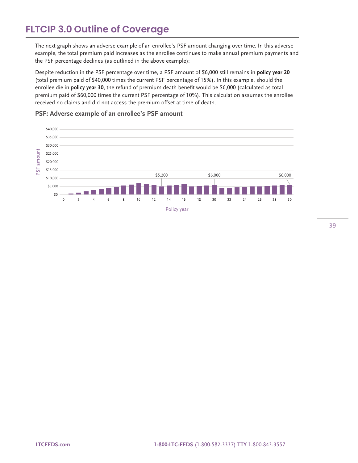The next graph shows an adverse example of an enrollee's PSF amount changing over time. In this adverse example, the total premium paid increases as the enrollee continues to make annual premium payments and the PSF percentage declines (as outlined in the above example):

Despite reduction in the PSF percentage over time, a PSF amount of \$6,000 still remains in **policy year 20** (total premium paid of \$40,000 times the current PSF percentage of 15%). In this example, should the enrollee die in **policy year 30**, the refund of premium death benefit would be \$6,000 (calculated as total premium paid of \$60,000 times the current PSF percentage of 10%). This calculation assumes the enrollee received no claims and did not access the premium offset at time of death.

**PSF: Adverse example of an enrollee's PSF amount** 

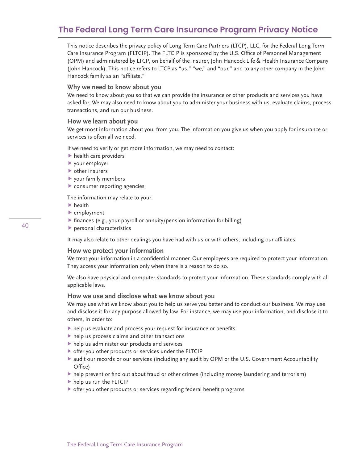### **The Federal Long Term Care Insurance Program Privacy Notice**

This notice describes the privacy policy of Long Term Care Partners (LTCP), LLC, for the Federal Long Term Care Insurance Program (FLTCIP). The FLTCIP is sponsored by the U.S. Office of Personnel Management (OPM) and administered by LTCP, on behalf of the insurer, John Hancock Life & Health Insurance Company (John Hancock). This notice refers to LTCP as "us," "we," and "our," and to any other company in the John Hancock family as an "affiliate."

#### **Why we need to know about you**

We need to know about you so that we can provide the insurance or other products and services you have asked for. We may also need to know about you to administer your business with us, evaluate claims, process transactions, and run our business.

#### **How we learn about you**

We get most information about you, from you. The information you give us when you apply for insurance or services is often all we need.

If we need to verify or get more information, we may need to contact:

- $\blacktriangleright$  health care providers
- your employer
- other insurers
- your family members
- consumer reporting agencies

The information may relate to your:

- $\blacktriangleright$  health
- employment
- $\triangleright$  finances (e.g., your payroll or annuity/pension information for billing)
- personal characteristics

It may also relate to other dealings you have had with us or with others, including our affiliates.

#### **How we protect your information**

We treat your information in a confidential manner. Our employees are required to protect your information. They access your information only when there is a reason to do so.

We also have physical and computer standards to protect your information. These standards comply with all applicable laws.

#### **How we use and disclose what we know about you**

We may use what we know about you to help us serve you better and to conduct our business. We may use and disclose it for any purpose allowed by law. For instance, we may use your information, and disclose it to others, in order to:

- help us evaluate and process your request for insurance or benefits
- $\blacktriangleright$  help us process claims and other transactions
- help us administer our products and services
- offer you other products or services under the FLTCIP
- audit our records or our services (including any audit by OPM or the U.S. Government Accountability Office)
- help prevent or find out about fraud or other crimes (including money laundering and terrorism)
- help us run the FLTCIP
- offer you other products or services regarding federal benefit programs

40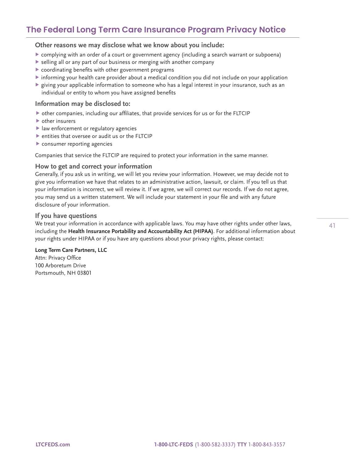### **The Federal Long Term Care Insurance Program Privacy Notice**

**Other reasons we may disclose what we know about you include:**

- complying with an order of a court or government agency (including a search warrant or subpoena)
- selling all or any part of our business or merging with another company
- coordinating benefits with other government programs
- informing your health care provider about a medical condition you did not include on your application
- $\blacktriangleright$  giving your applicable information to someone who has a legal interest in your insurance, such as an individual or entity to whom you have assigned benefits

#### **Information may be disclosed to:**

- other companies, including our affiliates, that provide services for us or for the FLTCIP
- other insurers
- law enforcement or regulatory agencies
- $\blacktriangleright$  entities that oversee or audit us or the FLTCIP
- consumer reporting agencies

Companies that service the FLTCIP are required to protect your information in the same manner.

#### **How to get and correct your information**

Generally, if you ask us in writing, we will let you review your information. However, we may decide not to give you information we have that relates to an administrative action, lawsuit, or claim. If you tell us that your information is incorrect, we will review it. If we agree, we will correct our records. If we do not agree, you may send us a written statement. We will include your statement in your file and with any future disclosure of your information.

#### **If you have questions**

We treat your information in accordance with applicable laws. You may have other rights under other laws, including the **Health Insurance Portability and Accountability Act (HIPAA)**. For additional information about your rights under HIPAA or if you have any questions about your privacy rights, please contact:

#### **Long Term Care Partners, LLC**

Attn: Privacy Office 100 Arboretum Drive Portsmouth, NH 03801